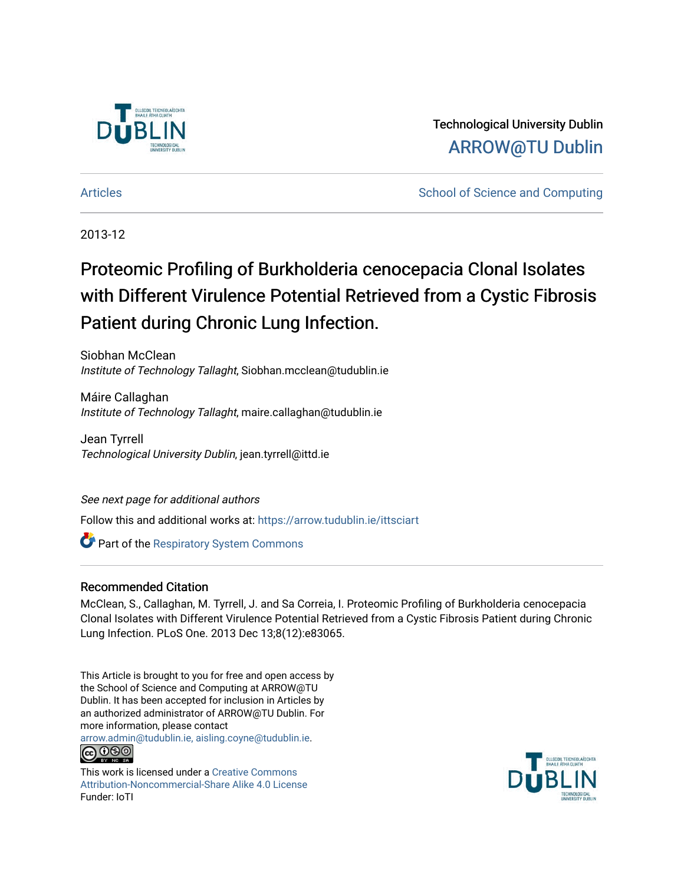

Technological University Dublin [ARROW@TU Dublin](https://arrow.tudublin.ie/) 

[Articles](https://arrow.tudublin.ie/ittsciart) **School of Science and Computing**  $\sim$  School of Science and Computing

2013-12

# Proteomic Profiling of Burkholderia cenocepacia Clonal Isolates with Different Virulence Potential Retrieved from a Cystic Fibrosis Patient during Chronic Lung Infection.

Siobhan McClean Institute of Technology Tallaght, Siobhan.mcclean@tudublin.ie

Máire Callaghan Institute of Technology Tallaght, maire.callaghan@tudublin.ie

Jean Tyrrell Technological University Dublin, jean.tyrrell@ittd.ie

See next page for additional authors

Follow this and additional works at: [https://arrow.tudublin.ie/ittsciart](https://arrow.tudublin.ie/ittsciart?utm_source=arrow.tudublin.ie%2Fittsciart%2F23&utm_medium=PDF&utm_campaign=PDFCoverPages)

**Part of the Respiratory System Commons** 

### Recommended Citation

McClean, S., Callaghan, M. Tyrrell, J. and Sa Correia, I. Proteomic Profiling of Burkholderia cenocepacia Clonal Isolates with Different Virulence Potential Retrieved from a Cystic Fibrosis Patient during Chronic Lung Infection. PLoS One. 2013 Dec 13;8(12):e83065.

This Article is brought to you for free and open access by the School of Science and Computing at ARROW@TU Dublin. It has been accepted for inclusion in Articles by an authorized administrator of ARROW@TU Dublin. For more information, please contact

[arrow.admin@tudublin.ie, aisling.coyne@tudublin.ie](mailto:arrow.admin@tudublin.ie,%20aisling.coyne@tudublin.ie). **@@@** 

This work is licensed under a [Creative Commons](http://creativecommons.org/licenses/by-nc-sa/4.0/) [Attribution-Noncommercial-Share Alike 4.0 License](http://creativecommons.org/licenses/by-nc-sa/4.0/) Funder: IoTI

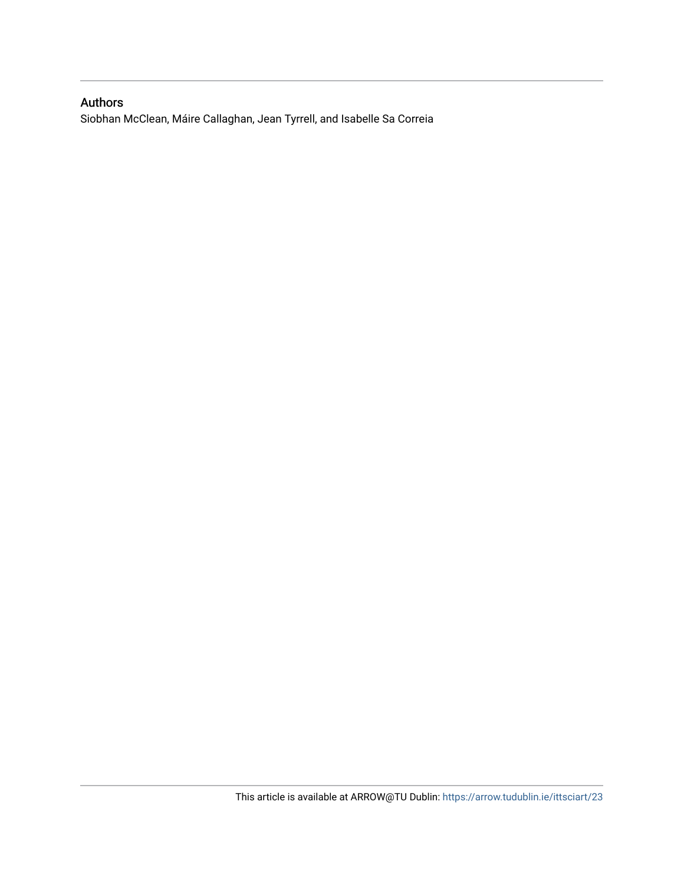## Authors

Siobhan McClean, Máire Callaghan, Jean Tyrrell, and Isabelle Sa Correia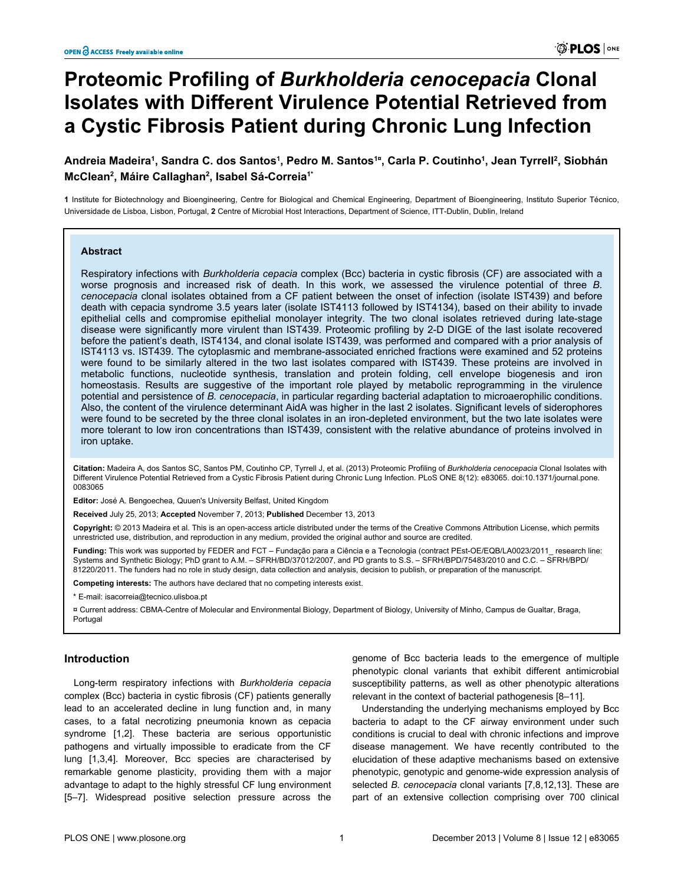# **Proteomic Profiling of** *Burkholderia cenocepacia* **Clonal Isolates with Different Virulence Potential Retrieved from a Cystic Fibrosis Patient during Chronic Lung Infection**

### **Andreia Madeira<sup>1</sup> , Sandra C. dos Santos<sup>1</sup> , Pedro M. Santos1¤, Carla P. Coutinho<sup>1</sup> , Jean Tyrrell<sup>2</sup> , Siobhán McClean<sup>2</sup> , Máire Callaghan<sup>2</sup> , Isabel Sá-Correia1\***

**1** Institute for Biotechnology and Bioengineering, Centre for Biological and Chemical Engineering, Department of Bioengineering, Instituto Superior Técnico, Universidade de Lisboa, Lisbon, Portugal, **2** Centre of Microbial Host Interactions, Department of Science, ITT-Dublin, Dublin, Ireland

#### **Abstract**

Respiratory infections with *Burkholderia cepacia* complex (Bcc) bacteria in cystic fibrosis (CF) are associated with a worse prognosis and increased risk of death. In this work, we assessed the virulence potential of three *B. cenocepacia* clonal isolates obtained from a CF patient between the onset of infection (isolate IST439) and before death with cepacia syndrome 3.5 years later (isolate IST4113 followed by IST4134), based on their ability to invade epithelial cells and compromise epithelial monolayer integrity. The two clonal isolates retrieved during late-stage disease were significantly more virulent than IST439. Proteomic profiling by 2-D DIGE of the last isolate recovered before the patient's death, IST4134, and clonal isolate IST439, was performed and compared with a prior analysis of IST4113 vs. IST439. The cytoplasmic and membrane-associated enriched fractions were examined and 52 proteins were found to be similarly altered in the two last isolates compared with IST439. These proteins are involved in metabolic functions, nucleotide synthesis, translation and protein folding, cell envelope biogenesis and iron homeostasis. Results are suggestive of the important role played by metabolic reprogramming in the virulence potential and persistence of *B. cenocepacia*, in particular regarding bacterial adaptation to microaerophilic conditions. Also, the content of the virulence determinant AidA was higher in the last 2 isolates. Significant levels of siderophores were found to be secreted by the three clonal isolates in an iron-depleted environment, but the two late isolates were more tolerant to low iron concentrations than IST439, consistent with the relative abundance of proteins involved in iron uptake.

**Citation:** Madeira A, dos Santos SC, Santos PM, Coutinho CP, Tyrrell J, et al. (2013) Proteomic Profiling of *Burkholderia cenocepacia* Clonal Isolates with Different Virulence Potential Retrieved from a Cystic Fibrosis Patient during Chronic Lung Infection. PLoS ONE 8(12): e83065. doi:10.1371/journal.pone. 0083065

**Editor:** José A. Bengoechea, Quuen's University Belfast, United Kingdom

**Received** July 25, 2013; **Accepted** November 7, 2013; **Published** December 13, 2013

**Copyright:** © 2013 Madeira et al. This is an open-access article distributed under the terms of the [Creative Commons Attribution License](http://creativecommons.org/licenses/by/4.0/), which permits unrestricted use, distribution, and reproduction in any medium, provided the original author and source are credited.

**Funding:** This work was supported by FEDER and FCT – Fundação para a Ciência e a Tecnologia (contract PEst-OE/EQB/LA0023/2011\_ research line: Systems and Synthetic Biology; PhD grant to A.M. – SFRH/BD/37012/2007, and PD grants to S.S. – SFRH/BPD/75483/2010 and C.C. – SFRH/BPD/ 81220/2011. The funders had no role in study design, data collection and analysis, decision to publish, or preparation of the manuscript.

**Competing interests:** The authors have declared that no competing interests exist.

\* E-mail: isacorreia@tecnico.ulisboa.pt

¤ Current address: CBMA-Centre of Molecular and Environmental Biology, Department of Biology, University of Minho, Campus de Gualtar, Braga, Portugal

#### **Introduction**

Long-term respiratory infections with *Burkholderia cepacia* complex (Bcc) bacteria in cystic fibrosis (CF) patients generally lead to an accelerated decline in lung function and, in many cases, to a fatal necrotizing pneumonia known as cepacia syndrome [\[1,2\]](#page-13-0). These bacteria are serious opportunistic pathogens and virtually impossible to eradicate from the CF lung [\[1,3,4](#page-13-0)]. Moreover, Bcc species are characterised by remarkable genome plasticity, providing them with a major advantage to adapt to the highly stressful CF lung environment [[5–7](#page-13-0)]. Widespread positive selection pressure across the

genome of Bcc bacteria leads to the emergence of multiple phenotypic clonal variants that exhibit different antimicrobial susceptibility patterns, as well as other phenotypic alterations relevant in the context of bacterial pathogenesis [\[8–11](#page-13-0)].

Understanding the underlying mechanisms employed by Bcc bacteria to adapt to the CF airway environment under such conditions is crucial to deal with chronic infections and improve disease management. We have recently contributed to the elucidation of these adaptive mechanisms based on extensive phenotypic, genotypic and genome-wide expression analysis of selected *B. cenocepacia* clonal variants [\[7,8,12,13\]](#page-13-0). These are part of an extensive collection comprising over 700 clinical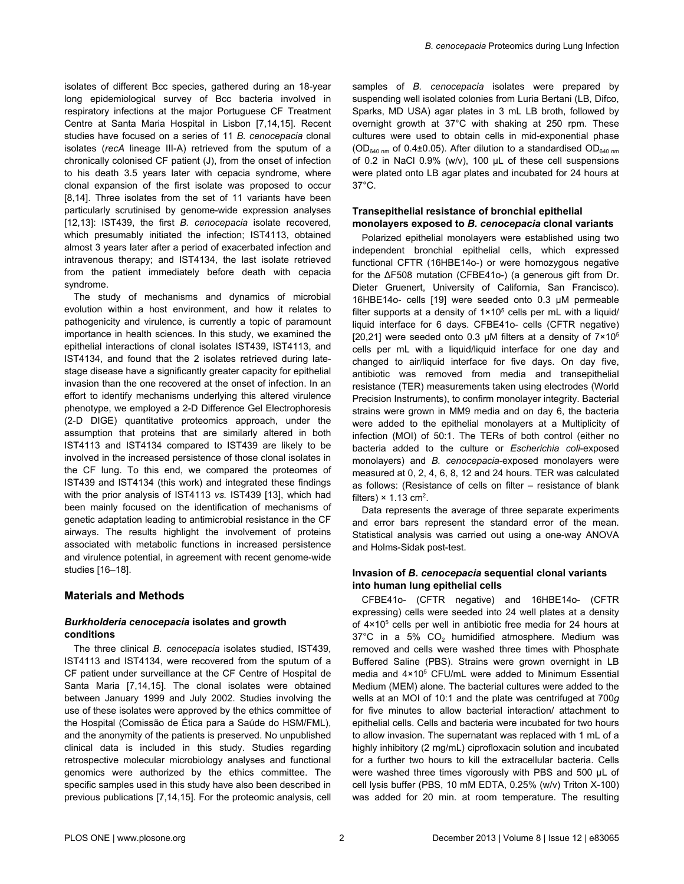isolates of different Bcc species, gathered during an 18-year long epidemiological survey of Bcc bacteria involved in respiratory infections at the major Portuguese CF Treatment Centre at Santa Maria Hospital in Lisbon [[7](#page-13-0),[14](#page-13-0),[15](#page-14-0)]. Recent studies have focused on a series of 11 *B. cenocepacia* clonal isolates (*recA* lineage III-A) retrieved from the sputum of a chronically colonised CF patient (J), from the onset of infection to his death 3.5 years later with cepacia syndrome, where clonal expansion of the first isolate was proposed to occur [[8,14\]](#page-13-0). Three isolates from the set of 11 variants have been particularly scrutinised by genome-wide expression analyses [[12](#page-13-0),[13](#page-13-0)]: IST439, the first *B. cenocepacia* isolate recovered, which presumably initiated the infection; IST4113, obtained almost 3 years later after a period of exacerbated infection and intravenous therapy; and IST4134, the last isolate retrieved from the patient immediately before death with cepacia syndrome.

The study of mechanisms and dynamics of microbial evolution within a host environment, and how it relates to pathogenicity and virulence, is currently a topic of paramount importance in health sciences. In this study, we examined the epithelial interactions of clonal isolates IST439, IST4113, and IST4134, and found that the 2 isolates retrieved during latestage disease have a significantly greater capacity for epithelial invasion than the one recovered at the onset of infection. In an effort to identify mechanisms underlying this altered virulence phenotype, we employed a 2-D Difference Gel Electrophoresis (2-D DIGE) quantitative proteomics approach, under the assumption that proteins that are similarly altered in both IST4113 and IST4134 compared to IST439 are likely to be involved in the increased persistence of those clonal isolates in the CF lung. To this end, we compared the proteomes of IST439 and IST4134 (this work) and integrated these findings with the prior analysis of IST4113 *vs.* IST439 [[13\]](#page-13-0), which had been mainly focused on the identification of mechanisms of genetic adaptation leading to antimicrobial resistance in the CF airways. The results highlight the involvement of proteins associated with metabolic functions in increased persistence and virulence potential, in agreement with recent genome-wide studies [\[16–18\]](#page-14-0).

#### **Materials and Methods**

#### *Burkholderia cenocepacia* **isolates and growth conditions**

The three clinical *B. cenocepacia* isolates studied, IST439, IST4113 and IST4134, were recovered from the sputum of a CF patient under surveillance at the CF Centre of Hospital de Santa Maria [[7,14](#page-13-0),[15](#page-14-0)]. The clonal isolates were obtained between January 1999 and July 2002. Studies involving the use of these isolates were approved by the ethics committee of the Hospital (Comissão de Ética para a Saúde do HSM/FML), and the anonymity of the patients is preserved. No unpublished clinical data is included in this study. Studies regarding retrospective molecular microbiology analyses and functional genomics were authorized by the ethics committee. The specific samples used in this study have also been described in previous publications [\[7,14](#page-13-0)[,15\]](#page-14-0). For the proteomic analysis, cell

samples of *B. cenocepacia* isolates were prepared by suspending well isolated colonies from Luria Bertani (LB, Difco, Sparks, MD USA) agar plates in 3 mL LB broth, followed by overnight growth at 37°C with shaking at 250 rpm. These cultures were used to obtain cells in mid-exponential phase ( $OD<sub>640 nm</sub>$  of 0.4±0.05). After dilution to a standardised  $OD<sub>640 nm</sub>$ of 0.2 in NaCl 0.9% (w/v), 100 µL of these cell suspensions were plated onto LB agar plates and incubated for 24 hours at 37°C.

#### **Transepithelial resistance of bronchial epithelial monolayers exposed to** *B. cenocepacia* **clonal variants**

Polarized epithelial monolayers were established using two independent bronchial epithelial cells, which expressed functional CFTR (16HBE14o-) or were homozygous negative for the ΔF508 mutation (CFBE41o-) (a generous gift from Dr. Dieter Gruenert, University of California, San Francisco). 16HBE14o- cells [\[19\]](#page-14-0) were seeded onto 0.3 µM permeable filter supports at a density of  $1\times10^5$  cells per mL with a liquid/ liquid interface for 6 days. CFBE41o- cells (CFTR negative) [[20](#page-14-0),[21](#page-14-0)] were seeded onto 0.3  $\mu$ M filters at a density of  $7 \times 10^5$ cells per mL with a liquid/liquid interface for one day and changed to air/liquid interface for five days. On day five, antibiotic was removed from media and transepithelial resistance (TER) measurements taken using electrodes (World Precision Instruments), to confirm monolayer integrity. Bacterial strains were grown in MM9 media and on day 6, the bacteria were added to the epithelial monolayers at a Multiplicity of infection (MOI) of 50:1. The TERs of both control (either no bacteria added to the culture or *Escherichia coli*-exposed monolayers) and *B. cenocepacia*-exposed monolayers were measured at 0, 2, 4, 6, 8, 12 and 24 hours. TER was calculated as follows: (Resistance of cells on filter – resistance of blank filters)  $\times$  1.13 cm<sup>2</sup>.

Data represents the average of three separate experiments and error bars represent the standard error of the mean. Statistical analysis was carried out using a one-way ANOVA and Holms-Sidak post-test.

#### **Invasion of** *B. cenocepacia* **sequential clonal variants into human lung epithelial cells**

CFBE41o- (CFTR negative) and 16HBE14o- (CFTR expressing) cells were seeded into 24 well plates at a density of 4×10<sup>5</sup> cells per well in antibiotic free media for 24 hours at 37°C in a 5% CO<sub>2</sub> humidified atmosphere. Medium was removed and cells were washed three times with Phosphate Buffered Saline (PBS). Strains were grown overnight in LB media and 4×10<sup>5</sup> CFU/mL were added to Minimum Essential Medium (MEM) alone. The bacterial cultures were added to the wells at an MOI of 10:1 and the plate was centrifuged at 700*g* for five minutes to allow bacterial interaction/ attachment to epithelial cells. Cells and bacteria were incubated for two hours to allow invasion. The supernatant was replaced with 1 mL of a highly inhibitory (2 mg/mL) ciprofloxacin solution and incubated for a further two hours to kill the extracellular bacteria. Cells were washed three times vigorously with PBS and 500 µL of cell lysis buffer (PBS, 10 mM EDTA, 0.25% (w/v) Triton X-100) was added for 20 min. at room temperature. The resulting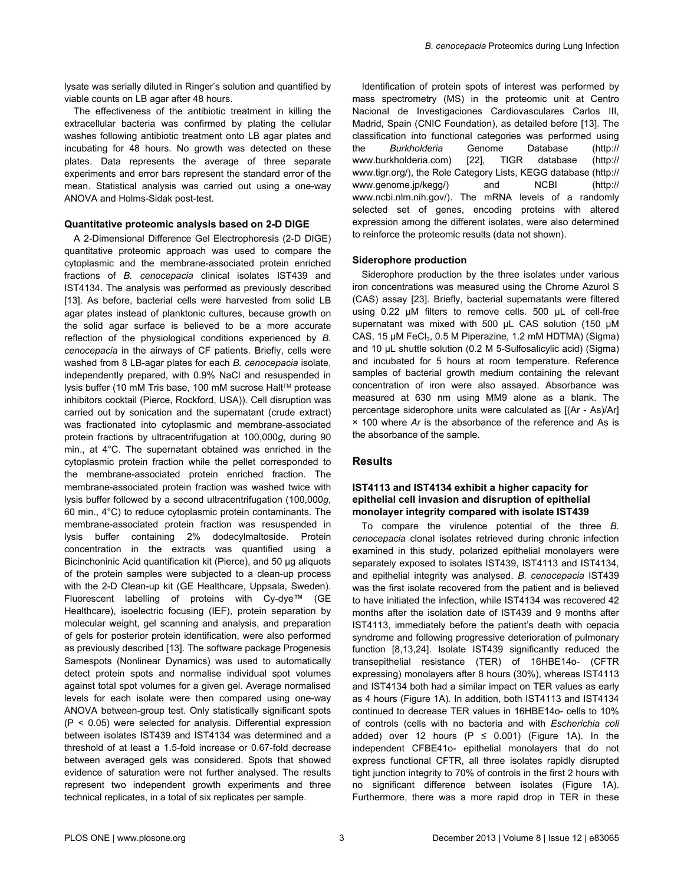lysate was serially diluted in Ringer's solution and quantified by viable counts on LB agar after 48 hours.

The effectiveness of the antibiotic treatment in killing the extracellular bacteria was confirmed by plating the cellular washes following antibiotic treatment onto LB agar plates and incubating for 48 hours. No growth was detected on these plates. Data represents the average of three separate experiments and error bars represent the standard error of the mean. Statistical analysis was carried out using a one-way ANOVA and Holms-Sidak post-test.

#### **Quantitative proteomic analysis based on 2-D DIGE**

A 2-Dimensional Difference Gel Electrophoresis (2-D DIGE) quantitative proteomic approach was used to compare the cytoplasmic and the membrane-associated protein enriched fractions of *B. cenocepacia* clinical isolates IST439 and IST4134. The analysis was performed as previously described [[13](#page-13-0)]. As before, bacterial cells were harvested from solid LB agar plates instead of planktonic cultures, because growth on the solid agar surface is believed to be a more accurate reflection of the physiological conditions experienced by *B. cenocepacia* in the airways of CF patients. Briefly, cells were washed from 8 LB-agar plates for each *B. cenocepacia* isolate, independently prepared, with 0.9% NaCl and resuspended in lysis buffer (10 mM Tris base, 100 mM sucrose Halt™ protease inhibitors cocktail (Pierce, Rockford, USA)). Cell disruption was carried out by sonication and the supernatant (crude extract) was fractionated into cytoplasmic and membrane-associated protein fractions by ultracentrifugation at 100,000*g*, during 90 min., at 4°C. The supernatant obtained was enriched in the cytoplasmic protein fraction while the pellet corresponded to the membrane-associated protein enriched fraction. The membrane-associated protein fraction was washed twice with lysis buffer followed by a second ultracentrifugation (100,000*g*, 60 min., 4°C) to reduce cytoplasmic protein contaminants. The membrane-associated protein fraction was resuspended in lysis buffer containing 2% dodecylmaltoside. Protein concentration in the extracts was quantified using a Bicinchoninic Acid quantification kit (Pierce), and 50 µg aliquots of the protein samples were subjected to a clean-up process with the 2-D Clean-up kit (GE Healthcare, Uppsala, Sweden). Fluorescent labelling of proteins with Cy-dye™ (GE Healthcare), isoelectric focusing (IEF), protein separation by molecular weight, gel scanning and analysis, and preparation of gels for posterior protein identification, were also performed as previously described [\[13\]](#page-13-0). The software package Progenesis Samespots (Nonlinear Dynamics) was used to automatically detect protein spots and normalise individual spot volumes against total spot volumes for a given gel. Average normalised levels for each isolate were then compared using one-way ANOVA between-group test. Only statistically significant spots (P < 0.05) were selected for analysis. Differential expression between isolates IST439 and IST4134 was determined and a threshold of at least a 1.5-fold increase or 0.67-fold decrease between averaged gels was considered. Spots that showed evidence of saturation were not further analysed. The results represent two independent growth experiments and three technical replicates, in a total of six replicates per sample.

Identification of protein spots of interest was performed by mass spectrometry (MS) in the proteomic unit at Centro Nacional de Investigaciones Cardiovasculares Carlos III, Madrid, Spain (CNIC Foundation), as detailed before [[13](#page-13-0)]. The classification into functional categories was performed using the *Burkholderia* Genome Database (http:// www.burkholderia.com) [\[22\]](#page-14-0), TIGR database (http:// www.tigr.org/), the Role Category Lists, KEGG database (http:// www.genome.jp/kegg/) and NCBI (http:// www.ncbi.nlm.nih.gov/). The mRNA levels of a randomly selected set of genes, encoding proteins with altered expression among the different isolates, were also determined to reinforce the proteomic results (data not shown).

#### **Siderophore production**

Siderophore production by the three isolates under various iron concentrations was measured using the Chrome Azurol S (CAS) assay [[23](#page-14-0)]. Briefly, bacterial supernatants were filtered using 0.22 µM filters to remove cells. 500 μL of cell-free supernatant was mixed with 500 μL CAS solution (150 μM CAS, 15 μM FeCl<sub>3</sub>, 0.5 M Piperazine, 1.2 mM HDTMA) (Sigma) and 10 µL shuttle solution (0.2 M 5-Sulfosalicylic acid) (Sigma) and incubated for 5 hours at room temperature. Reference samples of bacterial growth medium containing the relevant concentration of iron were also assayed. Absorbance was measured at 630 nm using MM9 alone as a blank. The percentage siderophore units were calculated as [(Ar - As)/Ar] × 100 where *Ar* is the absorbance of the reference and As is the absorbance of the sample.

#### **Results**

#### **IST4113 and IST4134 exhibit a higher capacity for epithelial cell invasion and disruption of epithelial monolayer integrity compared with isolate IST439**

To compare the virulence potential of the three *B. cenocepacia* clonal isolates retrieved during chronic infection examined in this study, polarized epithelial monolayers were separately exposed to isolates IST439, IST4113 and IST4134, and epithelial integrity was analysed. *B. cenocepacia* IST439 was the first isolate recovered from the patient and is believed to have initiated the infection, while IST4134 was recovered 42 months after the isolation date of IST439 and 9 months after IST4113, immediately before the patient's death with cepacia syndrome and following progressive deterioration of pulmonary function [\[8](#page-13-0),[13](#page-13-0)[,24\]](#page-14-0). Isolate IST439 significantly reduced the transepithelial resistance (TER) of 16HBE14o- (CFTR expressing) monolayers after 8 hours (30%), whereas IST4113 and IST4134 both had a similar impact on TER values as early as 4 hours [\(Figure 1A\)](#page-5-0). In addition, both IST4113 and IST4134 continued to decrease TER values in 16HBE14o- cells to 10% of controls (cells with no bacteria and with *Escherichia coli* added) over 12 hours (P  $\leq$  0.001) ([Figure 1A\)](#page-5-0). In the independent CFBE41o- epithelial monolayers that do not express functional CFTR, all three isolates rapidly disrupted tight junction integrity to 70% of controls in the first 2 hours with no significant difference between isolates [\(Figure 1A](#page-5-0)). Furthermore, there was a more rapid drop in TER in these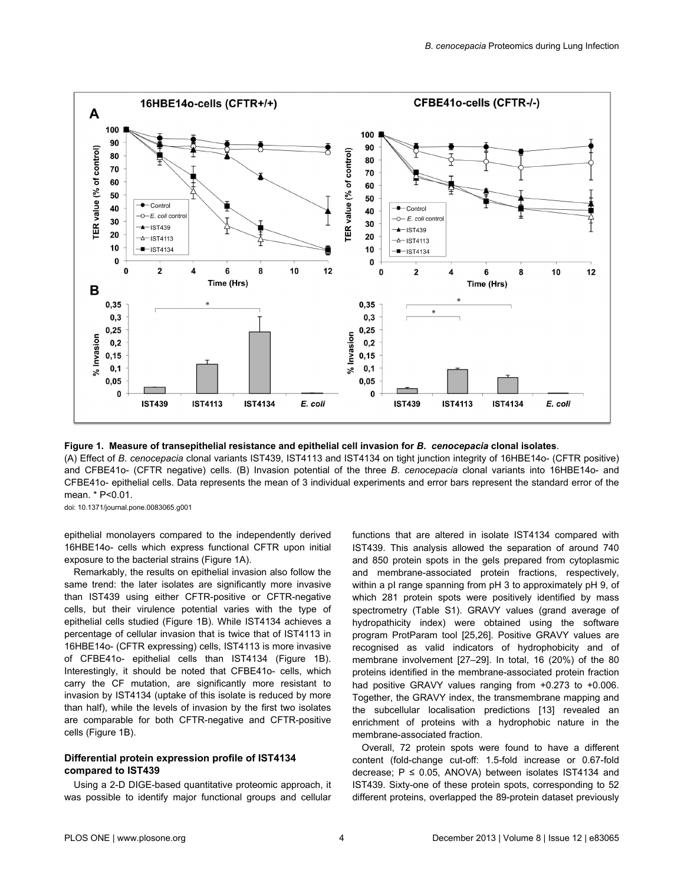<span id="page-5-0"></span>

**Figure 1. Measure of transepithelial resistance and epithelial cell invasion for** *B***.** *cenocepacia* **clonal isolates**. (A) Effect of *B*. *cenocepacia* clonal variants IST439, IST4113 and IST4134 on tight junction integrity of 16HBE14o- (CFTR positive) and CFBE41o- (CFTR negative) cells. (B) Invasion potential of the three *B*. *cenocepacia* clonal variants into 16HBE14o- and CFBE41o- epithelial cells. Data represents the mean of 3 individual experiments and error bars represent the standard error of the mean. \* P<0.01.

doi: 10.1371/journal.pone.0083065.g001

epithelial monolayers compared to the independently derived 16HBE14o- cells which express functional CFTR upon initial exposure to the bacterial strains (Figure 1A).

Remarkably, the results on epithelial invasion also follow the same trend: the later isolates are significantly more invasive than IST439 using either CFTR-positive or CFTR-negative cells, but their virulence potential varies with the type of epithelial cells studied (Figure 1B). While IST4134 achieves a percentage of cellular invasion that is twice that of IST4113 in 16HBE14o- (CFTR expressing) cells, IST4113 is more invasive of CFBE41o- epithelial cells than IST4134 (Figure 1B). Interestingly, it should be noted that CFBE41o- cells, which carry the CF mutation, are significantly more resistant to invasion by IST4134 (uptake of this isolate is reduced by more than half), while the levels of invasion by the first two isolates are comparable for both CFTR-negative and CFTR-positive cells (Figure 1B).

#### **Differential protein expression profile of IST4134 compared to IST439**

Using a 2-D DIGE-based quantitative proteomic approach, it was possible to identify major functional groups and cellular functions that are altered in isolate IST4134 compared with IST439. This analysis allowed the separation of around 740 and 850 protein spots in the gels prepared from cytoplasmic and membrane-associated protein fractions, respectively, within a pI range spanning from pH 3 to approximately pH 9, of which 281 protein spots were positively identified by mass spectrometry [\(Table S1\)](#page-13-0). GRAVY values (grand average of hydropathicity index) were obtained using the software program ProtParam tool [[25](#page-14-0),[26](#page-14-0)]. Positive GRAVY values are recognised as valid indicators of hydrophobicity and of membrane involvement [[27–29\]](#page-14-0). In total, 16 (20%) of the 80 proteins identified in the membrane-associated protein fraction had positive GRAVY values ranging from +0.273 to +0.006. Together, the GRAVY index, the transmembrane mapping and the subcellular localisation predictions [[13](#page-13-0)] revealed an enrichment of proteins with a hydrophobic nature in the membrane-associated fraction.

Overall, 72 protein spots were found to have a different content (fold-change cut-off: 1.5-fold increase or 0.67-fold decrease;  $P \le 0.05$ , ANOVA) between isolates IST4134 and IST439. Sixty-one of these protein spots, corresponding to 52 different proteins, overlapped the 89-protein dataset previously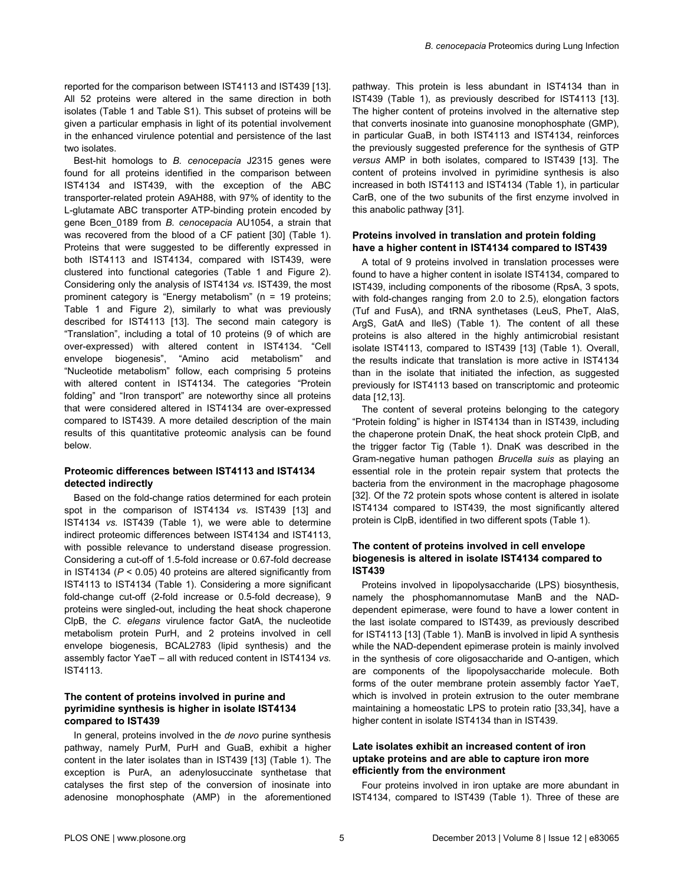reported for the comparison between IST4113 and IST439 [\[13\]](#page-13-0). All 52 proteins were altered in the same direction in both isolates [\(Table 1](#page-7-0) and [Table S1\)](#page-13-0). This subset of proteins will be given a particular emphasis in light of its potential involvement in the enhanced virulence potential and persistence of the last two isolates.

Best-hit homologs to *B. cenocepacia* J2315 genes were found for all proteins identified in the comparison between IST4134 and IST439, with the exception of the ABC transporter-related protein A9AH88, with 97% of identity to the L-glutamate ABC transporter ATP-binding protein encoded by gene Bcen\_0189 from *B. cenocepacia* AU1054, a strain that was recovered from the blood of a CF patient [\[30\]](#page-14-0) ([Table 1](#page-7-0)). Proteins that were suggested to be differently expressed in both IST4113 and IST4134, compared with IST439, were clustered into functional categories [\(Table 1](#page-7-0) and [Figure 2](#page-10-0)). Considering only the analysis of IST4134 *vs.* IST439, the most prominent category is "Energy metabolism" (n = 19 proteins; [Table 1](#page-7-0) and [Figure 2](#page-10-0)), similarly to what was previously described for IST4113 [\[13\]](#page-13-0). The second main category is "Translation", including a total of 10 proteins (9 of which are over-expressed) with altered content in IST4134. "Cell envelope biogenesis", "Amino acid metabolism" and "Nucleotide metabolism" follow, each comprising 5 proteins with altered content in IST4134. The categories "Protein folding" and "Iron transport" are noteworthy since all proteins that were considered altered in IST4134 are over-expressed compared to IST439. A more detailed description of the main results of this quantitative proteomic analysis can be found below.

#### **Proteomic differences between IST4113 and IST4134 detected indirectly**

Based on the fold-change ratios determined for each protein spot in the comparison of IST4134 *vs.* IST439 [\[13\]](#page-13-0) and IST4134 *vs.* IST439 ([Table 1](#page-7-0)), we were able to determine indirect proteomic differences between IST4134 and IST4113, with possible relevance to understand disease progression. Considering a cut-off of 1.5-fold increase or 0.67-fold decrease in IST4134 (*P* < 0.05) 40 proteins are altered significantly from IST4113 to IST4134 ([Table 1\)](#page-7-0). Considering a more significant fold-change cut-off (2-fold increase or 0.5-fold decrease), 9 proteins were singled-out, including the heat shock chaperone ClpB, the *C. elegans* virulence factor GatA, the nucleotide metabolism protein PurH, and 2 proteins involved in cell envelope biogenesis, BCAL2783 (lipid synthesis) and the assembly factor YaeT – all with reduced content in IST4134 *vs.* IST4113.

#### **The content of proteins involved in purine and pyrimidine synthesis is higher in isolate IST4134 compared to IST439**

In general, proteins involved in the *de novo* purine synthesis pathway, namely PurM, PurH and GuaB, exhibit a higher content in the later isolates than in IST439 [[13](#page-13-0)] ([Table 1\)](#page-7-0). The exception is PurA, an adenylosuccinate synthetase that catalyses the first step of the conversion of inosinate into adenosine monophosphate (AMP) in the aforementioned pathway. This protein is less abundant in IST4134 than in IST439 [\(Table 1](#page-7-0)), as previously described for IST4113 [\[13\]](#page-13-0). The higher content of proteins involved in the alternative step that converts inosinate into guanosine monophosphate (GMP), in particular GuaB, in both IST4113 and IST4134, reinforces the previously suggested preference for the synthesis of GTP *versus* AMP in both isolates, compared to IST439 [\[13\]](#page-13-0). The content of proteins involved in pyrimidine synthesis is also increased in both IST4113 and IST4134 [\(Table 1](#page-7-0)), in particular CarB, one of the two subunits of the first enzyme involved in this anabolic pathway [\[31\]](#page-14-0).

#### **Proteins involved in translation and protein folding have a higher content in IST4134 compared to IST439**

A total of 9 proteins involved in translation processes were found to have a higher content in isolate IST4134, compared to IST439, including components of the ribosome (RpsA, 3 spots, with fold-changes ranging from 2.0 to 2.5), elongation factors (Tuf and FusA), and tRNA synthetases (LeuS, PheT, AlaS, ArgS, GatA and IleS) [\(Table 1](#page-7-0)). The content of all these proteins is also altered in the highly antimicrobial resistant isolate IST4113, compared to IST439 [[13](#page-13-0)] [\(Table 1](#page-7-0)). Overall, the results indicate that translation is more active in IST4134 than in the isolate that initiated the infection, as suggested previously for IST4113 based on transcriptomic and proteomic data [[12](#page-13-0),[13](#page-13-0)].

The content of several proteins belonging to the category "Protein folding" is higher in IST4134 than in IST439, including the chaperone protein DnaK, the heat shock protein ClpB, and the trigger factor Tig [\(Table 1](#page-7-0)). DnaK was described in the Gram-negative human pathogen *Brucella suis* as playing an essential role in the protein repair system that protects the bacteria from the environment in the macrophage phagosome [[32](#page-14-0)]. Of the 72 protein spots whose content is altered in isolate IST4134 compared to IST439, the most significantly altered protein is ClpB, identified in two different spots [\(Table 1](#page-7-0)).

#### **The content of proteins involved in cell envelope biogenesis is altered in isolate IST4134 compared to IST439**

Proteins involved in lipopolysaccharide (LPS) biosynthesis, namely the phosphomannomutase ManB and the NADdependent epimerase, were found to have a lower content in the last isolate compared to IST439, as previously described for IST4113 [[13](#page-13-0)] ([Table 1](#page-7-0)). ManB is involved in lipid A synthesis while the NAD-dependent epimerase protein is mainly involved in the synthesis of core oligosaccharide and O-antigen, which are components of the lipopolysaccharide molecule. Both forms of the outer membrane protein assembly factor YaeT, which is involved in protein extrusion to the outer membrane maintaining a homeostatic LPS to protein ratio [\[33,34](#page-14-0)], have a higher content in isolate IST4134 than in IST439.

#### **Late isolates exhibit an increased content of iron uptake proteins and are able to capture iron more efficiently from the environment**

Four proteins involved in iron uptake are more abundant in IST4134, compared to IST439 ([Table 1\)](#page-7-0). Three of these are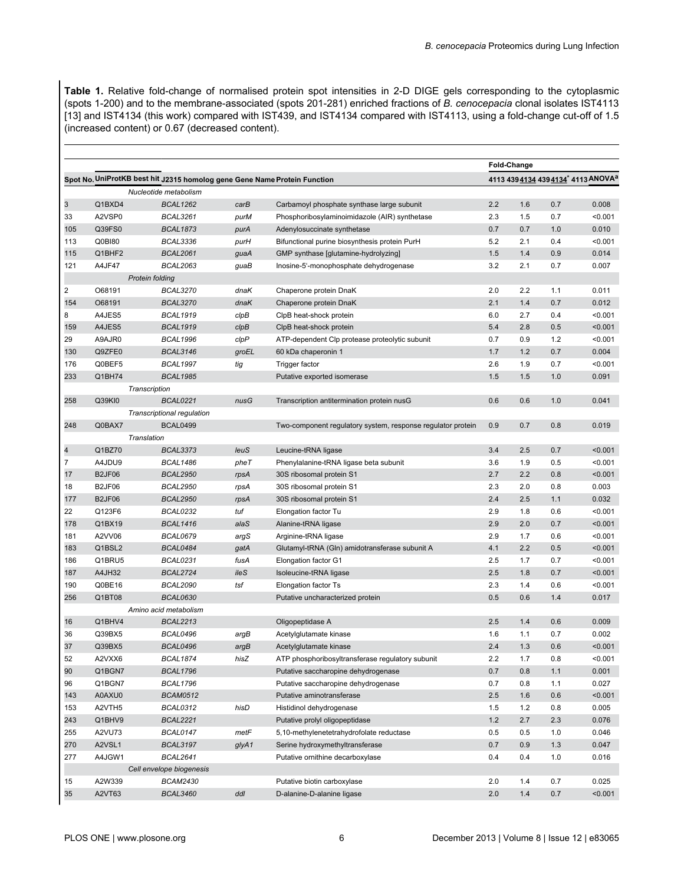<span id="page-7-0"></span>**Table 1.** Relative fold-change of normalised protein spot intensities in 2-D DIGE gels corresponding to the cytoplasmic (spots 1-200) and to the membrane-associated (spots 201-281) enriched fractions of *B. cenocepacia* clonal isolates IST4113 [\[13](#page-13-0)] and IST4134 (this work) compared with IST439, and IST4134 compared with IST4113, using a fold-change cut-off of 1.5 (increased content) or 0.67 (decreased content).

|                         |               |                                                                           |       |                                                             | Fold-Change |                                                 |     |         |  |
|-------------------------|---------------|---------------------------------------------------------------------------|-------|-------------------------------------------------------------|-------------|-------------------------------------------------|-----|---------|--|
|                         |               | Spot No. UniProtKB best hit J2315 homolog gene Gene Name Protein Function |       |                                                             |             | 4113 439 4134 439 4134* 4113 ANOVA <sup>a</sup> |     |         |  |
|                         |               | Nucleotide metabolism                                                     |       |                                                             |             |                                                 |     |         |  |
| 3                       | Q1BXD4        | <b>BCAL1262</b>                                                           | carB  | Carbamoyl phosphate synthase large subunit                  | 2.2         | 1.6                                             | 0.7 | 0.008   |  |
| 33                      | A2VSP0        | <b>BCAL3261</b>                                                           | purM  | Phosphoribosylaminoimidazole (AIR) synthetase               | 2.3         | 1.5                                             | 0.7 | < 0.001 |  |
| 105                     | Q39FS0        | <b>BCAL1873</b>                                                           | purA  | Adenylosuccinate synthetase                                 | 0.7         | 0.7                                             | 1.0 | 0.010   |  |
| 113                     | Q0BI80        | <b>BCAL3336</b>                                                           | purH  | Bifunctional purine biosynthesis protein PurH               | 5.2         | 2.1                                             | 0.4 | < 0.001 |  |
| 115                     | Q1BHF2        | <b>BCAL2061</b>                                                           | guaA  | GMP synthase [glutamine-hydrolyzing]                        | 1.5         | 1.4                                             | 0.9 | 0.014   |  |
| 121                     | A4JF47        | <b>BCAL2063</b>                                                           | guaB  | Inosine-5'-monophosphate dehydrogenase                      | 3.2         | 2.1                                             | 0.7 | 0.007   |  |
|                         |               | Protein folding                                                           |       |                                                             |             |                                                 |     |         |  |
| $\overline{c}$          | O68191        | <b>BCAL3270</b>                                                           | dnaK  | Chaperone protein DnaK                                      | 2.0         | 2.2                                             | 1.1 | 0.011   |  |
| 154                     | O68191        | <b>BCAL3270</b>                                                           | dnaK  | Chaperone protein DnaK                                      | 2.1         | 1.4                                             | 0.7 | 0.012   |  |
| 8                       | A4JES5        | <b>BCAL1919</b>                                                           | clpB  | ClpB heat-shock protein                                     | 6.0         | 2.7                                             | 0.4 | < 0.001 |  |
| 159                     | A4JES5        | <b>BCAL1919</b>                                                           | clpB  | ClpB heat-shock protein                                     | 5.4         | 2.8                                             | 0.5 | < 0.001 |  |
| 29                      | A9AJR0        | <b>BCAL1996</b>                                                           | clpP  | ATP-dependent Clp protease proteolytic subunit              | 0.7         | 0.9                                             | 1.2 | < 0.001 |  |
| 130                     | Q9ZFE0        | <b>BCAL3146</b>                                                           | groEL | 60 kDa chaperonin 1                                         | 1.7         | 1.2                                             | 0.7 | 0.004   |  |
| 176                     | Q0BEF5        | <b>BCAL1997</b>                                                           | tig   | Trigger factor                                              | 2.6         | 1.9                                             | 0.7 | < 0.001 |  |
| 233                     | Q1BH74        | <b>BCAL1985</b>                                                           |       | Putative exported isomerase                                 | 1.5         | 1.5                                             | 1.0 | 0.091   |  |
|                         |               | Transcription                                                             |       |                                                             |             |                                                 |     |         |  |
| 258                     | Q39KI0        | <b>BCAL0221</b>                                                           | nusG  | Transcription antitermination protein nusG                  | 0.6         | 0.6                                             | 1.0 | 0.041   |  |
|                         |               | Transcriptional regulation                                                |       |                                                             |             |                                                 |     |         |  |
| 248                     | Q0BAX7        | <b>BCAL0499</b>                                                           |       | Two-component regulatory system, response regulator protein | 0.9         | 0.7                                             | 0.8 | 0.019   |  |
|                         |               | Translation                                                               |       |                                                             |             |                                                 |     |         |  |
| $\overline{\mathbf{4}}$ | Q1BZ70        | <b>BCAL3373</b>                                                           | leuS  | Leucine-tRNA ligase                                         | 3.4         | 2.5                                             | 0.7 | < 0.001 |  |
| $\overline{7}$          | A4JDU9        | <b>BCAL1486</b>                                                           | pheT  | Phenylalanine-tRNA ligase beta subunit                      | 3.6         | 1.9                                             | 0.5 | < 0.001 |  |
| 17                      | <b>B2JF06</b> | <b>BCAL2950</b>                                                           | rpsA  | 30S ribosomal protein S1                                    | 2.7         | 2.2                                             | 0.8 | < 0.001 |  |
| 18                      | <b>B2JF06</b> | <b>BCAL2950</b>                                                           | rpsA  | 30S ribosomal protein S1                                    | 2.3         | 2.0                                             | 0.8 | 0.003   |  |
| 177                     | <b>B2JF06</b> | <b>BCAL2950</b>                                                           | rpsA  | 30S ribosomal protein S1                                    | 2.4         | 2.5                                             | 1.1 | 0.032   |  |
| 22                      | Q123F6        | BCAL0232                                                                  | tuf   | Elongation factor Tu                                        | 2.9         | 1.8                                             | 0.6 | < 0.001 |  |
| 178                     | Q1BX19        | <b>BCAL1416</b>                                                           | alaS  | Alanine-tRNA ligase                                         | 2.9         | 2.0                                             | 0.7 | < 0.001 |  |
| 181                     | A2VV06        | <b>BCAL0679</b>                                                           | argS  | Arginine-tRNA ligase                                        | 2.9         | 1.7                                             | 0.6 | < 0.001 |  |
| 183                     | Q1BSL2        | BCAL0484                                                                  | gatA  | Glutamyl-tRNA (Gln) amidotransferase subunit A              | 4.1         | 2.2                                             | 0.5 | < 0.001 |  |
| 186                     | Q1BRU5        | <b>BCAL0231</b>                                                           | fusA  | Elongation factor G1                                        | 2.5         | 1.7                                             | 0.7 | < 0.001 |  |
| 187                     | A4JH32        | <b>BCAL2724</b>                                                           | ileS  | Isoleucine-tRNA ligase                                      | 2.5         | 1.8                                             | 0.7 | < 0.001 |  |
| 190                     | Q0BE16        | <b>BCAL2090</b>                                                           | tsf   | Elongation factor Ts                                        | 2.3         | 1.4                                             | 0.6 | < 0.001 |  |
| 256                     | Q1BT08        | <b>BCAL0630</b>                                                           |       | Putative uncharacterized protein                            | 0.5         | 0.6                                             | 1.4 | 0.017   |  |
|                         |               | Amino acid metabolism                                                     |       |                                                             |             |                                                 |     |         |  |
| 16                      | Q1BHV4        | <b>BCAL2213</b>                                                           |       | Oligopeptidase A                                            | 2.5         | 1.4                                             | 0.6 | 0.009   |  |
| 36                      | Q39BX5        | BCAL0496                                                                  | argB  | Acetylglutamate kinase                                      | 1.6         | 1.1                                             | 0.7 | 0.002   |  |
| 37                      | Q39BX5        | <b>BCAL0496</b>                                                           | argB  | Acetylglutamate kinase                                      | 2.4         | 1.3                                             | 0.6 | < 0.001 |  |
| 52                      | A2VXX6        | BCAL1874                                                                  | hisZ  | ATP phosphoribosyltransferase regulatory subunit            | 2.2         | 1.7                                             | 0.8 | < 0.001 |  |
| 90                      | Q1BGN7        | <b>BCAL1796</b>                                                           |       | Putative saccharopine dehydrogenase                         | 0.7         | 0.8                                             | 1.1 | 0.001   |  |
| 96                      | Q1BGN7        | <b>BCAL1796</b>                                                           |       | Putative saccharopine dehydrogenase                         | 0.7         | 0.8                                             | 1.1 | 0.027   |  |
| 143                     | A0AXU0        | BCAM0512                                                                  |       | Putative aminotransferase                                   | 2.5         | 1.6                                             | 0.6 | < 0.001 |  |
| 153                     | A2VTH5        | BCAL0312                                                                  | hisD  | Histidinol dehydrogenase                                    | 1.5         | 1.2                                             | 0.8 | 0.005   |  |
| 243                     | Q1BHV9        | <b>BCAL2221</b>                                                           |       | Putative prolyl oligopeptidase                              | $1.2$       | 2.7                                             | 2.3 | 0.076   |  |
| 255                     | A2VU73        | BCAL0147                                                                  | metF  | 5,10-methylenetetrahydrofolate reductase                    | 0.5         | 0.5                                             | 1.0 | 0.046   |  |
| 270                     | A2VSL1        | BCAL3197                                                                  | glyA1 | Serine hydroxymethyltransferase                             | 0.7         | 0.9                                             | 1.3 | 0.047   |  |
| 277                     | A4JGW1        | <b>BCAL2641</b>                                                           |       | Putative ornithine decarboxylase                            | 0.4         | 0.4                                             | 1.0 | 0.016   |  |
|                         |               | Cell envelope biogenesis                                                  |       |                                                             |             |                                                 |     |         |  |
| 15                      | A2W339        | <b>BCAM2430</b>                                                           |       | Putative biotin carboxylase                                 | 2.0         | 1.4                                             | 0.7 | 0.025   |  |
| 35                      | A2VT63        | <b>BCAL3460</b>                                                           | ddl   | D-alanine-D-alanine ligase                                  | 2.0         | 1.4                                             | 0.7 | < 0.001 |  |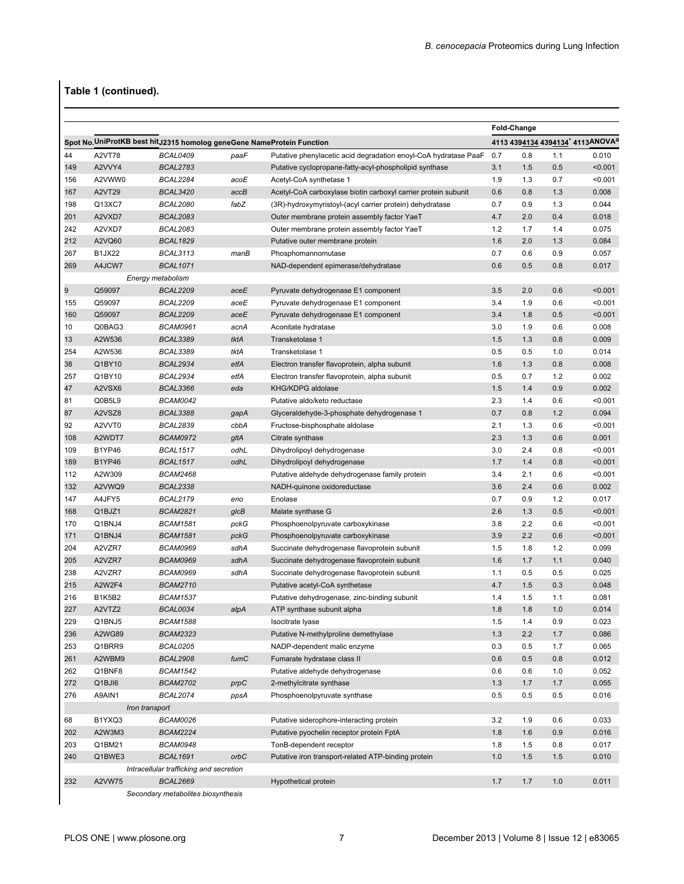# **Table 1 (continued).**

|     |                                                                         |                                         |      |                                                                                |            | Fold-Change                      |     |         |  |  |
|-----|-------------------------------------------------------------------------|-----------------------------------------|------|--------------------------------------------------------------------------------|------------|----------------------------------|-----|---------|--|--|
|     | Spot No. UniProtKB best hit J2315 homolog geneGene NameProtein Function |                                         |      |                                                                                |            | 4113 4394134 4394134* 4113ANOVAa |     |         |  |  |
| 44  | <b>A2VT78</b>                                                           | <b>BCAL0409</b>                         | paaF | Putative phenylacetic acid degradation enoyl-CoA hydratase PaaF                | 0.7        | 0.8                              | 1.1 | 0.010   |  |  |
| 149 | A2VVY4                                                                  | <b>BCAL2783</b>                         |      | Putative cyclopropane-fatty-acyl-phospholipid synthase                         | 3.1        | 1.5                              | 0.5 | < 0.001 |  |  |
| 156 | A2VWW0                                                                  | <b>BCAL2284</b>                         | acoE | Acetyl-CoA synthetase 1                                                        | 1.9        | 1.3                              | 0.7 | < 0.001 |  |  |
| 167 | <b>A2VT29</b>                                                           | <b>BCAL3420</b>                         | accB | Acetyl-CoA carboxylase biotin carboxyl carrier protein subunit                 | 0.6        | 0.8                              | 1.3 | 0.008   |  |  |
| 198 | Q13XC7                                                                  | <b>BCAL2080</b>                         | fabZ | (3R)-hydroxymyristoyl-(acyl carrier protein) dehydratase                       | 0.7        | 0.9                              | 1.3 | 0.044   |  |  |
| 201 | A2VXD7                                                                  | <b>BCAL2083</b>                         |      | Outer membrane protein assembly factor YaeT                                    | 4.7        | 2.0                              | 0.4 | 0.018   |  |  |
| 242 | A2VXD7                                                                  | <b>BCAL2083</b>                         |      | Outer membrane protein assembly factor YaeT                                    | 1.2        | 1.7                              | 1.4 | 0.075   |  |  |
| 212 | A2VQ60                                                                  | <b>BCAL1829</b>                         |      | Putative outer membrane protein                                                | 1.6        | 2.0                              | 1.3 | 0.084   |  |  |
| 267 | <b>B1JX22</b>                                                           | <b>BCAL3113</b>                         | manB | Phosphomannomutase                                                             | 0.7        | 0.6                              | 0.9 | 0.057   |  |  |
| 269 | A4JCW7                                                                  | <b>BCAL1071</b>                         |      | NAD-dependent epimerase/dehydratase                                            | 0.6        | 0.5                              | 0.8 | 0.017   |  |  |
|     |                                                                         | Energy metabolism                       |      |                                                                                |            |                                  |     |         |  |  |
| 9   | Q59097                                                                  | <b>BCAL2209</b>                         | aceE | Pyruvate dehydrogenase E1 component                                            | 3.5        | 2.0                              | 0.6 | < 0.001 |  |  |
| 155 | Q59097                                                                  | <b>BCAL2209</b>                         | aceE | Pyruvate dehydrogenase E1 component                                            | 3.4        | 1.9                              | 0.6 | < 0.001 |  |  |
| 160 | Q59097                                                                  | <b>BCAL2209</b>                         | aceE | Pyruvate dehydrogenase E1 component                                            | 3.4        | 1.8                              | 0.5 | < 0.001 |  |  |
| 10  | Q0BAG3                                                                  | <b>BCAM0961</b>                         | acnA | Aconitate hydratase                                                            | 3.0        | 1.9                              | 0.6 | 0.008   |  |  |
| 13  | A2W536                                                                  | <b>BCAL3389</b>                         | tktA | Transketolase 1                                                                | 1.5        | 1.3                              | 0.8 | 0.009   |  |  |
| 254 | A2W536                                                                  | <b>BCAL3389</b>                         | tktA | Transketolase 1                                                                | 0.5        | 0.5                              | 1.0 | 0.014   |  |  |
| 38  | Q1BY10                                                                  | <b>BCAL2934</b>                         | etfA | Electron transfer flavoprotein, alpha subunit                                  | 1.6        | 1.3                              | 0.8 | 0.008   |  |  |
| 257 | Q1BY10                                                                  | BCAL2934                                | etfA | Electron transfer flavoprotein, alpha subunit                                  | 0.5        | 0.7                              | 1.2 | 0.002   |  |  |
| 47  | A2VSX6                                                                  | <b>BCAL3366</b>                         | eda  | KHG/KDPG aldolase                                                              | 1.5        | 1.4                              | 0.9 | 0.002   |  |  |
| 81  | Q0B5L9                                                                  | <b>BCAM0042</b>                         |      | Putative aldo/keto reductase                                                   | 2.3        | 1.4                              | 0.6 | < 0.001 |  |  |
| 87  | A2VSZ8                                                                  | <b>BCAL3388</b>                         | gapA | Glyceraldehyde-3-phosphate dehydrogenase 1                                     | 0.7        | 0.8                              | 1.2 | 0.094   |  |  |
| 92  | A2VVT0                                                                  | <b>BCAL2839</b>                         | cbbA | Fructose-bisphosphate aldolase                                                 | 2.1        | 1.3                              | 0.6 | < 0.001 |  |  |
| 108 | A2WDT7                                                                  | <b>BCAM0972</b>                         | gltA | Citrate synthase                                                               | 2.3        | 1.3                              | 0.6 | 0.001   |  |  |
| 109 | <b>B1YP46</b>                                                           | <b>BCAL1517</b>                         | odhL | Dihydrolipoyl dehydrogenase                                                    | 3.0        | 2.4                              | 0.8 | < 0.001 |  |  |
| 189 | <b>B1YP46</b>                                                           | <b>BCAL1517</b>                         | odhL | Dihydrolipoyl dehydrogenase                                                    | 1.7        | 1.4                              | 0.8 | < 0.001 |  |  |
| 112 | A2W309                                                                  | <b>BCAM2468</b>                         |      | Putative aldehyde dehydrogenase family protein                                 | 3.4        | 2.1                              | 0.6 | < 0.001 |  |  |
| 132 | A2VWQ9                                                                  | <b>BCAL2338</b>                         |      | NADH-quinone oxidoreductase                                                    | 3.6        | 2.4                              | 0.6 | 0.002   |  |  |
| 147 | A4JFY5                                                                  | <b>BCAL2179</b>                         | eno  | Enolase                                                                        | 0.7        | 0.9                              | 1.2 | 0.017   |  |  |
| 168 | Q1BJZ1                                                                  | <b>BCAM2821</b>                         | g/cB | Malate synthase G                                                              | 2.6        | 1.3                              | 0.5 | < 0.001 |  |  |
| 170 | Q1BNJ4                                                                  | <b>BCAM1581</b>                         | pckG | Phosphoenolpyruvate carboxykinase                                              | 3.8        | 2.2                              | 0.6 | < 0.001 |  |  |
| 171 | Q1BNJ4                                                                  | <b>BCAM1581</b>                         | pckG | Phosphoenolpyruvate carboxykinase                                              | 3.9        | 2.2                              | 0.6 | < 0.001 |  |  |
| 204 | A2VZR7                                                                  | <b>BCAM0969</b>                         | sdhA | Succinate dehydrogenase flavoprotein subunit                                   | 1.5        | 1.8                              | 1.2 | 0.099   |  |  |
| 205 | A2VZR7                                                                  | <b>BCAM0969</b>                         | sdhA |                                                                                | 1.6        | 1.7                              | 1.1 | 0.040   |  |  |
| 238 | A2VZR7                                                                  | <b>BCAM0969</b>                         | sdhA | Succinate dehydrogenase flavoprotein subunit                                   | 1.1        | 0.5                              | 0.5 | 0.025   |  |  |
| 215 | A2W2F4                                                                  | <b>BCAM2710</b>                         |      | Succinate dehydrogenase flavoprotein subunit<br>Putative acetyl-CoA synthetase | 4.7        | 1.5                              | 0.3 | 0.048   |  |  |
| 216 | <b>B1K5B2</b>                                                           | <b>BCAM1537</b>                         |      |                                                                                | 1.4        | 1.5                              | 1.1 | 0.081   |  |  |
|     | A2VTZ2                                                                  | BCAL0034                                |      | Putative dehydrogenase, zinc-binding subunit                                   | 1.8        | 1.8                              | 1.0 | 0.014   |  |  |
| 227 |                                                                         |                                         | atpA | ATP synthase subunit alpha                                                     |            |                                  | 0.9 |         |  |  |
| 229 | Q1BNJ5<br>A2WG89                                                        | <b>BCAM1588</b><br><b>BCAM2323</b>      |      | Isocitrate Iyase                                                               | 1.5<br>1.3 | 1.4                              | 1.7 | 0.023   |  |  |
| 236 | Q1BRR9                                                                  |                                         |      | Putative N-methylproline demethylase                                           |            | 2.2                              |     | 0.086   |  |  |
| 253 |                                                                         | BCAL0205                                |      | NADP-dependent malic enzyme                                                    | 0.3        | 0.5                              | 1.7 | 0.065   |  |  |
| 261 | A2WBM9                                                                  | <b>BCAL2908</b>                         | fumC | Fumarate hydratase class II                                                    | 0.6        | 0.5                              | 0.8 | 0.012   |  |  |
| 262 | Q1BNF8                                                                  | BCAM1542                                |      | Putative aldehyde dehydrogenase                                                | 0.6        | 0.6                              | 1.0 | 0.052   |  |  |
| 272 | Q1BJI6                                                                  | <b>BCAM2702</b>                         | prpC | 2-methylcitrate synthase                                                       | 1.3        | 1.7                              | 1.7 | 0.055   |  |  |
| 276 | A9AIN1                                                                  | <b>BCAL2074</b>                         | ppsA | Phosphoenolpyruvate synthase                                                   | 0.5        | 0.5                              | 0.5 | 0.016   |  |  |
|     | Iron transport                                                          |                                         |      |                                                                                |            |                                  |     |         |  |  |
| 68  | B1YXQ3                                                                  | BCAM0026                                |      | Putative siderophore-interacting protein                                       | 3.2        | 1.9                              | 0.6 | 0.033   |  |  |
| 202 | A2W3M3                                                                  | <b>BCAM2224</b>                         |      | Putative pyochelin receptor protein FptA                                       | 1.8        | 1.6                              | 0.9 | 0.016   |  |  |
| 203 | Q1BM21                                                                  | BCAM0948                                |      | TonB-dependent receptor                                                        | 1.8        | 1.5                              | 0.8 | 0.017   |  |  |
| 240 | Q1BWE3                                                                  | <b>BCAL1691</b>                         | orbC | Putative iron transport-related ATP-binding protein                            | 1.0        | 1.5                              | 1.5 | 0.010   |  |  |
|     |                                                                         | Intracellular trafficking and secretion |      |                                                                                |            |                                  |     |         |  |  |
| 232 | A2VW75                                                                  | <b>BCAL2669</b>                         |      | Hypothetical protein                                                           | 1.7        | 1.7                              | 1.0 | 0.011   |  |  |
|     | Secondary metabolites biosynthesis                                      |                                         |      |                                                                                |            |                                  |     |         |  |  |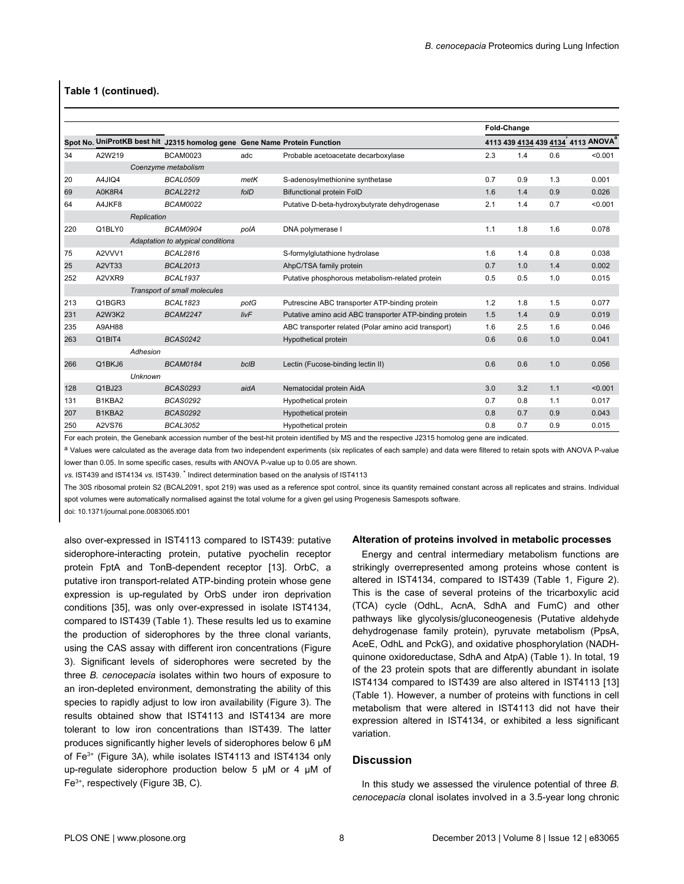#### <span id="page-9-0"></span>**Table 1 (continued).**

|     |             | Spot No. UniProtKB best hit J2315 homolog gene Gene Name Protein Function |      |                                                         | Fold-Change                                    |     |     |         |
|-----|-------------|---------------------------------------------------------------------------|------|---------------------------------------------------------|------------------------------------------------|-----|-----|---------|
|     |             |                                                                           |      |                                                         | 4113 439 4134 439 4134 4113 ANOVA <sup>a</sup> |     |     |         |
| 34  | A2W219      | <b>BCAM0023</b>                                                           | adc  | Probable acetoacetate decarboxylase                     | 2.3                                            | 1.4 | 0.6 | < 0.001 |
|     |             | Coenzyme metabolism                                                       |      |                                                         |                                                |     |     |         |
| 20  | A4JIQ4      | <b>BCAL0509</b>                                                           | metK | S-adenosylmethionine synthetase                         | 0.7                                            | 0.9 | 1.3 | 0.001   |
| 69  | A0K8R4      | <b>BCAL2212</b>                                                           | folD | <b>Bifunctional protein FolD</b>                        | 1.6                                            | 1.4 | 0.9 | 0.026   |
| 64  | A4JKF8      | <b>BCAM0022</b>                                                           |      | Putative D-beta-hydroxybutyrate dehydrogenase           | 2.1                                            | 1.4 | 0.7 | < 0.001 |
|     | Replication |                                                                           |      |                                                         |                                                |     |     |         |
| 220 | Q1BLY0      | <b>BCAM0904</b>                                                           | polA | DNA polymerase I                                        | 1.1                                            | 1.8 | 1.6 | 0.078   |
|     |             | Adaptation to atypical conditions                                         |      |                                                         |                                                |     |     |         |
| 75  | A2VVV1      | <b>BCAL2816</b>                                                           |      | S-formylglutathione hydrolase                           | 1.6                                            | 1.4 | 0.8 | 0.038   |
| 25  | A2VT33      | <b>BCAL2013</b>                                                           |      | AhpC/TSA family protein                                 | 0.7                                            | 1.0 | 1.4 | 0.002   |
| 252 | A2VXR9      | <b>BCAL1937</b>                                                           |      | Putative phosphorous metabolism-related protein         | 0.5                                            | 0.5 | 1.0 | 0.015   |
|     |             | Transport of small molecules                                              |      |                                                         |                                                |     |     |         |
| 213 | Q1BGR3      | <b>BCAL1823</b>                                                           | potG | Putrescine ABC transporter ATP-binding protein          | 1.2                                            | 1.8 | 1.5 | 0.077   |
| 231 | A2W3K2      | <b>BCAM2247</b>                                                           | livF | Putative amino acid ABC transporter ATP-binding protein | 1.5                                            | 1.4 | 0.9 | 0.019   |
| 235 | A9AH88      |                                                                           |      | ABC transporter related (Polar amino acid transport)    | 1.6                                            | 2.5 | 1.6 | 0.046   |
| 263 | Q1BIT4      | <b>BCAS0242</b>                                                           |      | <b>Hypothetical protein</b>                             | 0.6                                            | 0.6 | 1.0 | 0.041   |
|     | Adhesion    |                                                                           |      |                                                         |                                                |     |     |         |
| 266 | Q1BKJ6      | <b>BCAM0184</b>                                                           | bclB | Lectin (Fucose-binding lectin II)                       | 0.6                                            | 0.6 | 1.0 | 0.056   |
|     | Unknown     |                                                                           |      |                                                         |                                                |     |     |         |
| 128 | Q1BJ23      | <b>BCAS0293</b>                                                           | aidA | Nematocidal protein AidA                                | 3.0                                            | 3.2 | 1.1 | < 0.001 |
| 131 | B1KBA2      | <b>BCAS0292</b>                                                           |      | Hypothetical protein                                    | 0.7                                            | 0.8 | 1.1 | 0.017   |
| 207 | B1KBA2      | <b>BCAS0292</b>                                                           |      | Hypothetical protein                                    | 0.8                                            | 0.7 | 0.9 | 0.043   |
| 250 | A2VS76      | <b>BCAL3052</b>                                                           |      | Hypothetical protein                                    | 0.8                                            | 0.7 | 0.9 | 0.015   |

For each protein, the Genebank accession number of the best-hit protein identified by MS and the respective J2315 homolog gene are indicated.

a Values were calculated as the average data from two independent experiments (six replicates of each sample) and data were filtered to retain spots with ANOVA P-value lower than 0.05. In some specific cases, results with ANOVA P-value up to 0.05 are shown.

vs. IST439 and IST4134 vs. IST439.<sup>\*</sup> Indirect determination based on the analysis of IST4113

The 30S ribosomal protein S2 (BCAL2091, spot 219) was used as a reference spot control, since its quantity remained constant across all replicates and strains. Individual spot volumes were automatically normalised against the total volume for a given gel using Progenesis Samespots software.

doi: 10.1371/journal.pone.0083065.t001

also over-expressed in IST4113 compared to IST439: putative siderophore-interacting protein, putative pyochelin receptor protein FptA and TonB-dependent receptor [[13](#page-13-0)]. OrbC, a putative iron transport-related ATP-binding protein whose gene expression is up-regulated by OrbS under iron deprivation conditions [\[35\]](#page-14-0), was only over-expressed in isolate IST4134, compared to IST439 ([Table 1](#page-7-0)). These results led us to examine the production of siderophores by the three clonal variants, using the CAS assay with different iron concentrations [\(Figure](#page-11-0) [3](#page-11-0)). Significant levels of siderophores were secreted by the three *B. cenocepacia* isolates within two hours of exposure to an iron-depleted environment, demonstrating the ability of this species to rapidly adjust to low iron availability ([Figure 3\)](#page-11-0). The results obtained show that IST4113 and IST4134 are more tolerant to low iron concentrations than IST439. The latter produces significantly higher levels of siderophores below 6 µM of Fe3+ [\(Figure 3A](#page-11-0)), while isolates IST4113 and IST4134 only up-regulate siderophore production below 5 µM or 4 µM of Fe3+, respectively [\(Figure 3B, C\)](#page-11-0).

#### **Alteration of proteins involved in metabolic processes**

Energy and central intermediary metabolism functions are strikingly overrepresented among proteins whose content is altered in IST4134, compared to IST439 ([Table 1](#page-7-0), [Figure 2](#page-10-0)). This is the case of several proteins of the tricarboxylic acid (TCA) cycle (OdhL, AcnA, SdhA and FumC) and other pathways like glycolysis/gluconeogenesis (Putative aldehyde dehydrogenase family protein), pyruvate metabolism (PpsA, AceE, OdhL and PckG), and oxidative phosphorylation (NADHquinone oxidoreductase, SdhA and AtpA) ([Table 1](#page-7-0)). In total, 19 of the 23 protein spots that are differently abundant in isolate IST4134 compared to IST439 are also altered in IST4113 [[13](#page-13-0)] [\(Table 1](#page-7-0)). However, a number of proteins with functions in cell metabolism that were altered in IST4113 did not have their expression altered in IST4134, or exhibited a less significant variation.

#### **Discussion**

In this study we assessed the virulence potential of three *B. cenocepacia* clonal isolates involved in a 3.5-year long chronic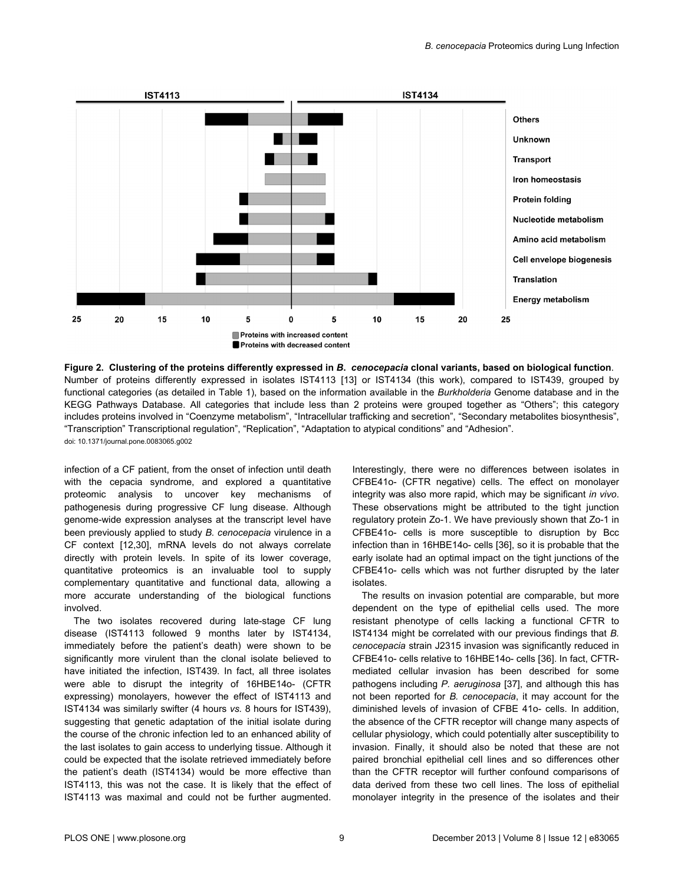<span id="page-10-0"></span>



infection of a CF patient, from the onset of infection until death with the cepacia syndrome, and explored a quantitative proteomic analysis to uncover key mechanisms of pathogenesis during progressive CF lung disease. Although genome-wide expression analyses at the transcript level have been previously applied to study *B. cenocepacia* virulence in a CF context [[12](#page-13-0),[30](#page-14-0)], mRNA levels do not always correlate directly with protein levels. In spite of its lower coverage, quantitative proteomics is an invaluable tool to supply complementary quantitative and functional data, allowing a more accurate understanding of the biological functions involved.

The two isolates recovered during late-stage CF lung disease (IST4113 followed 9 months later by IST4134, immediately before the patient's death) were shown to be significantly more virulent than the clonal isolate believed to have initiated the infection, IST439. In fact, all three isolates were able to disrupt the integrity of 16HBE14o- (CFTR expressing) monolayers, however the effect of IST4113 and IST4134 was similarly swifter (4 hours *vs.* 8 hours for IST439), suggesting that genetic adaptation of the initial isolate during the course of the chronic infection led to an enhanced ability of the last isolates to gain access to underlying tissue. Although it could be expected that the isolate retrieved immediately before the patient's death (IST4134) would be more effective than IST4113, this was not the case. It is likely that the effect of IST4113 was maximal and could not be further augmented.

Interestingly, there were no differences between isolates in CFBE41o- (CFTR negative) cells. The effect on monolayer integrity was also more rapid, which may be significant *in vivo*. These observations might be attributed to the tight junction regulatory protein Zo-1. We have previously shown that Zo-1 in CFBE41o- cells is more susceptible to disruption by Bcc infection than in 16HBE14o- cells [\[36\]](#page-14-0), so it is probable that the early isolate had an optimal impact on the tight junctions of the CFBE41o- cells which was not further disrupted by the later isolates.

The results on invasion potential are comparable, but more dependent on the type of epithelial cells used. The more resistant phenotype of cells lacking a functional CFTR to IST4134 might be correlated with our previous findings that *B. cenocepacia* strain J2315 invasion was significantly reduced in CFBE41o- cells relative to 16HBE14o- cells [\[36\]](#page-14-0). In fact, CFTRmediated cellular invasion has been described for some pathogens including *P. aeruginosa* [[37](#page-14-0)], and although this has not been reported for *B. cenocepacia*, it may account for the diminished levels of invasion of CFBE 41o- cells. In addition, the absence of the CFTR receptor will change many aspects of cellular physiology, which could potentially alter susceptibility to invasion. Finally, it should also be noted that these are not paired bronchial epithelial cell lines and so differences other than the CFTR receptor will further confound comparisons of data derived from these two cell lines. The loss of epithelial monolayer integrity in the presence of the isolates and their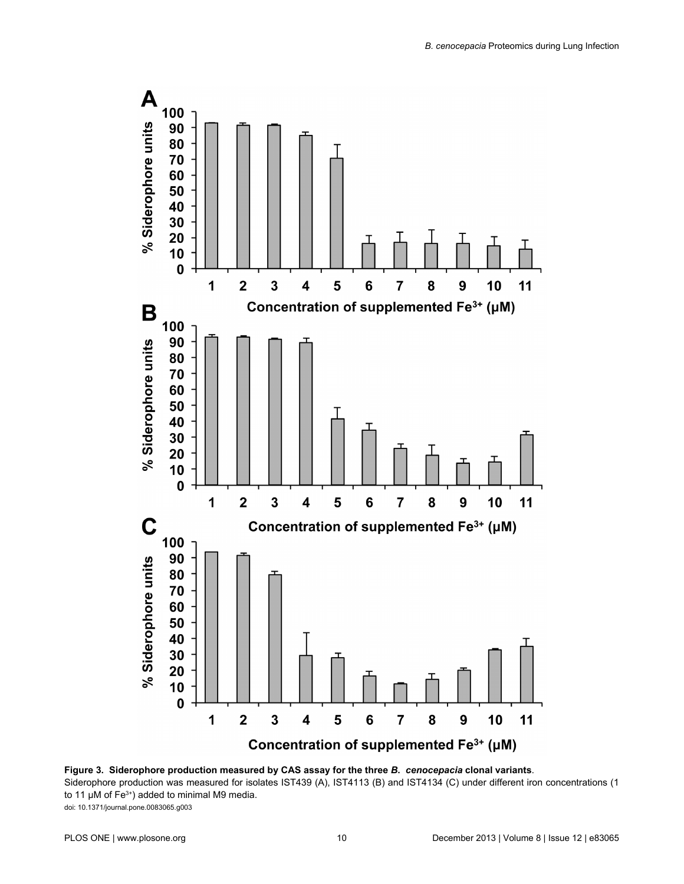<span id="page-11-0"></span>

**Figure 3. Siderophore production measured by CAS assay for the three** *B***.** *cenocepacia* **clonal variants**. Siderophore production was measured for isolates IST439 (A), IST4113 (B) and IST4134 (C) under different iron concentrations (1 to 11 μM of  $Fe<sup>3+</sup>$ ) added to minimal M9 media. doi: 10.1371/journal.pone.0083065.g003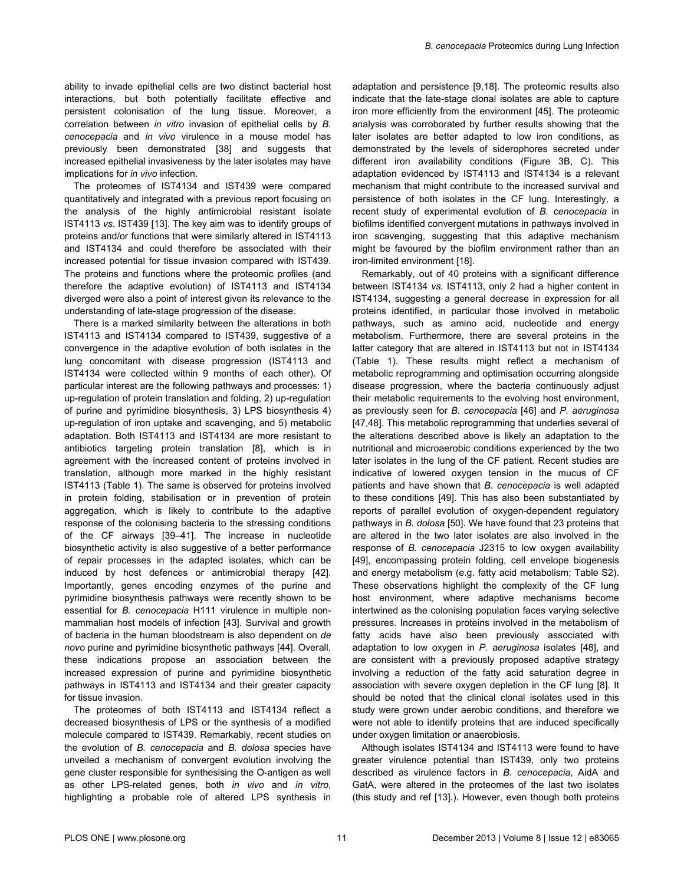ability to invade epithelial cells are two distinct bacterial host interactions, but both potentially facilitate effective and persistent colonisation of the lung tissue. Moreover, a correlation between *in vitro* invasion of epithelial cells by *B. cenocepacia* and *in vivo* virulence in a mouse model has previously been demonstrated [[38](#page-14-0)] and suggests that increased epithelial invasiveness by the later isolates may have implications for *in vivo* infection.

The proteomes of IST4134 and IST439 were compared quantitatively and integrated with a previous report focusing on the analysis of the highly antimicrobial resistant isolate IST4113 *vs.* IST439 [[13](#page-13-0)]. The key aim was to identify groups of proteins and/or functions that were similarly altered in IST4113 and IST4134 and could therefore be associated with their increased potential for tissue invasion compared with IST439. The proteins and functions where the proteomic profiles (and therefore the adaptive evolution) of IST4113 and IST4134 diverged were also a point of interest given its relevance to the understanding of late-stage progression of the disease.

There is a marked similarity between the alterations in both IST4113 and IST4134 compared to IST439, suggestive of a convergence in the adaptive evolution of both isolates in the lung concomitant with disease progression (IST4113 and IST4134 were collected within 9 months of each other). Of particular interest are the following pathways and processes: 1) up-regulation of protein translation and folding, 2) up-regulation of purine and pyrimidine biosynthesis, 3) LPS biosynthesis 4) up-regulation of iron uptake and scavenging, and 5) metabolic adaptation. Both IST4113 and IST4134 are more resistant to antibiotics targeting protein translation [\[8](#page-13-0)], which is in agreement with the increased content of proteins involved in translation, although more marked in the highly resistant IST4113 [\(Table 1](#page-7-0)). The same is observed for proteins involved in protein folding, stabilisation or in prevention of protein aggregation, which is likely to contribute to the adaptive response of the colonising bacteria to the stressing conditions of the CF airways [[39–41](#page-14-0)]. The increase in nucleotide biosynthetic activity is also suggestive of a better performance of repair processes in the adapted isolates, which can be induced by host defences or antimicrobial therapy [\[42\]](#page-14-0). Importantly, genes encoding enzymes of the purine and pyrimidine biosynthesis pathways were recently shown to be essential for *B. cenocepacia* H111 virulence in multiple nonmammalian host models of infection [[43\]](#page-14-0). Survival and growth of bacteria in the human bloodstream is also dependent on *de novo* purine and pyrimidine biosynthetic pathways [[44](#page-14-0)]. Overall, these indications propose an association between the increased expression of purine and pyrimidine biosynthetic pathways in IST4113 and IST4134 and their greater capacity for tissue invasion.

The proteomes of both IST4113 and IST4134 reflect a decreased biosynthesis of LPS or the synthesis of a modified molecule compared to IST439. Remarkably, recent studies on the evolution of *B. cenocepacia* and *B. dolosa* species have unveiled a mechanism of convergent evolution involving the gene cluster responsible for synthesising the O-antigen as well as other LPS-related genes, both *in vivo* and *in vitro*, highlighting a probable role of altered LPS synthesis in

adaptation and persistence [\[9,](#page-13-0)[18\]](#page-14-0). The proteomic results also indicate that the late-stage clonal isolates are able to capture iron more efficiently from the environment [[45](#page-14-0)]. The proteomic analysis was corroborated by further results showing that the later isolates are better adapted to low iron conditions, as demonstrated by the levels of siderophores secreted under different iron availability conditions ([Figure 3B, C](#page-11-0)). This adaptation evidenced by IST4113 and IST4134 is a relevant mechanism that might contribute to the increased survival and persistence of both isolates in the CF lung. Interestingly, a recent study of experimental evolution of *B. cenocepacia* in biofilms identified convergent mutations in pathways involved in iron scavenging, suggesting that this adaptive mechanism might be favoured by the biofilm environment rather than an iron-limited environment [[18](#page-14-0)].

Remarkably, out of 40 proteins with a significant difference between IST4134 *vs.* IST4113, only 2 had a higher content in IST4134, suggesting a general decrease in expression for all proteins identified, in particular those involved in metabolic pathways, such as amino acid, nucleotide and energy metabolism. Furthermore, there are several proteins in the latter category that are altered in IST4113 but not in IST4134 [\(Table 1](#page-7-0)). These results might reflect a mechanism of metabolic reprogramming and optimisation occurring alongside disease progression, where the bacteria continuously adjust their metabolic requirements to the evolving host environment, as previously seen for *B. cenocepacia* [[46](#page-14-0)] and *P. aeruginosa* [[47](#page-14-0),[48](#page-14-0)]. This metabolic reprogramming that underlies several of the alterations described above is likely an adaptation to the nutritional and microaerobic conditions experienced by the two later isolates in the lung of the CF patient. Recent studies are indicative of lowered oxygen tension in the mucus of CF patients and have shown that *B. cenocepacia* is well adapted to these conditions [[49](#page-14-0)]. This has also been substantiated by reports of parallel evolution of oxygen-dependent regulatory pathways in *B. dolosa* [\[50](#page-14-0)]. We have found that 23 proteins that are altered in the two later isolates are also involved in the response of *B. cenocepacia* J2315 to low oxygen availability [[49](#page-14-0)], encompassing protein folding, cell envelope biogenesis and energy metabolism (e.g. fatty acid metabolism; [Table S2](#page-13-0)). These observations highlight the complexity of the CF lung host environment, where adaptive mechanisms become intertwined as the colonising population faces varying selective pressures. Increases in proteins involved in the metabolism of fatty acids have also been previously associated with adaptation to low oxygen in *P. aeruginosa* isolates [\[48\]](#page-14-0), and are consistent with a previously proposed adaptive strategy involving a reduction of the fatty acid saturation degree in association with severe oxygen depletion in the CF lung [\[8\]](#page-13-0). It should be noted that the clinical clonal isolates used in this study were grown under aerobic conditions, and therefore we were not able to identify proteins that are induced specifically under oxygen limitation or anaerobiosis.

Although isolates IST4134 and IST4113 were found to have greater virulence potential than IST439, only two proteins described as virulence factors in *B. cenocepacia*, AidA and GatA, were altered in the proteomes of the last two isolates (this study and ref [\[13\]](#page-13-0).). However, even though both proteins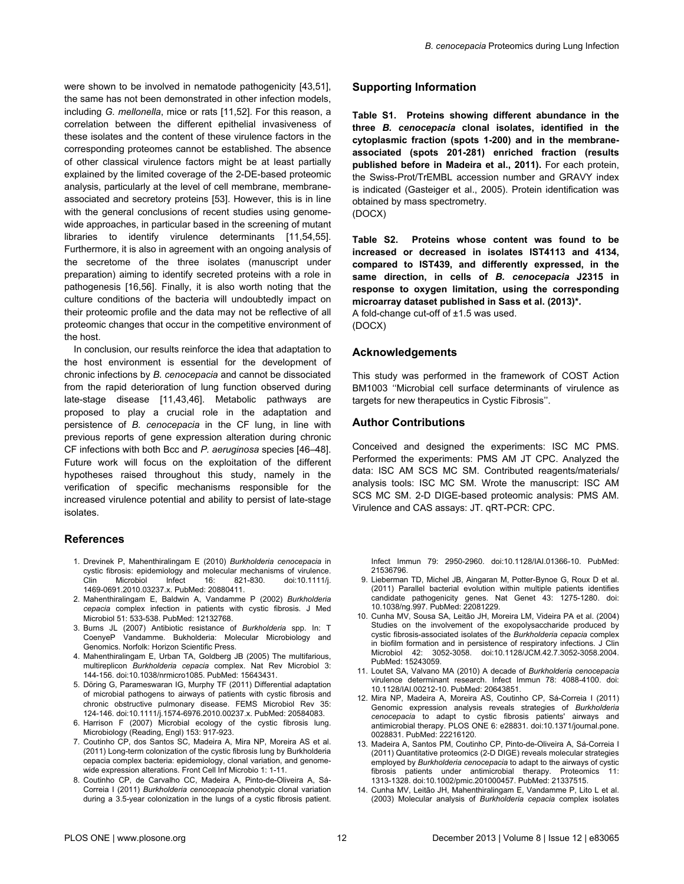<span id="page-13-0"></span>were shown to be involved in nematode pathogenicity [[43,51\]](#page-14-0), the same has not been demonstrated in other infection models, including *G. mellonella*, mice or rats [11,[52](#page-14-0)]. For this reason, a correlation between the different epithelial invasiveness of these isolates and the content of these virulence factors in the corresponding proteomes cannot be established. The absence of other classical virulence factors might be at least partially explained by the limited coverage of the 2-DE-based proteomic analysis, particularly at the level of cell membrane, membraneassociated and secretory proteins [\[53\]](#page-15-0). However, this is in line with the general conclusions of recent studies using genomewide approaches, in particular based in the screening of mutant libraries to identify virulence determinants [11,[54,55\]](#page-15-0). Furthermore, it is also in agreement with an ongoing analysis of the secretome of the three isolates (manuscript under preparation) aiming to identify secreted proteins with a role in pathogenesis [[16](#page-14-0)[,56\]](#page-15-0). Finally, it is also worth noting that the culture conditions of the bacteria will undoubtedly impact on their proteomic profile and the data may not be reflective of all proteomic changes that occur in the competitive environment of the host.

In conclusion, our results reinforce the idea that adaptation to the host environment is essential for the development of chronic infections by *B. cenocepacia* and cannot be dissociated from the rapid deterioration of lung function observed during late-stage disease [11[,43,46\]](#page-14-0). Metabolic pathways are proposed to play a crucial role in the adaptation and persistence of *B. cenocepacia* in the CF lung, in line with previous reports of gene expression alteration during chronic CF infections with both Bcc and *P. aeruginosa* species [\[46–48\]](#page-14-0). Future work will focus on the exploitation of the different hypotheses raised throughout this study, namely in the verification of specific mechanisms responsible for the increased virulence potential and ability to persist of late-stage isolates.

#### **References**

- 1. Drevinek P, Mahenthiralingam E (2010) *Burkholderia cenocepacia* in cystic fibrosis: epidemiology and molecular mechanisms of virulence. Clin Microbiol Infect 16: 821-830. doi:[10.1111/j.](http://dx.doi.org/10.1111/j.1469-0691.2010.03237.x) [1469-0691.2010.03237.x](http://dx.doi.org/10.1111/j.1469-0691.2010.03237.x). PubMed: [20880411](http://www.ncbi.nlm.nih.gov/pubmed/20880411).
- 2. Mahenthiralingam E, Baldwin A, Vandamme P (2002) *Burkholderia cepacia* complex infection in patients with cystic fibrosis. J Med Microbiol 51: 533-538. PubMed: [12132768.](http://www.ncbi.nlm.nih.gov/pubmed/12132768)
- 3. Burns JL (2007) Antibiotic resistance of *Burkholderia* spp. In: T CoenyeP Vandamme. Bukholderia: Molecular Microbiology and Genomics. Norfolk: Horizon Scientific Press.
- 4. Mahenthiralingam E, Urban TA, Goldberg JB (2005) The multifarious, multireplicon *Burkholderia cepacia* complex. Nat Rev Microbiol 3: 144-156. doi[:10.1038/nrmicro1085.](http://dx.doi.org/10.1038/nrmicro1085) PubMed: [15643431.](http://www.ncbi.nlm.nih.gov/pubmed/15643431)
- 5. Döring G, Parameswaran IG, Murphy TF (2011) Differential adaptation of microbial pathogens to airways of patients with cystic fibrosis and chronic obstructive pulmonary disease. FEMS Microbiol Rev 35: 124-146. doi[:10.1111/j.1574-6976.2010.00237.x](http://dx.doi.org/10.1111/j.1574-6976.2010.00237.x). PubMed: [20584083](http://www.ncbi.nlm.nih.gov/pubmed/20584083).
- 6. Harrison F (2007) Microbial ecology of the cystic fibrosis lung. Microbiology (Reading, Engl) 153: 917-923.
- 7. Coutinho CP, dos Santos SC, Madeira A, Mira NP, Moreira AS et al. (2011) Long-term colonization of the cystic fibrosis lung by Burkholderia cepacia complex bacteria: epidemiology, clonal variation, and genomewide expression alterations. Front Cell Inf Microbio 1: 1-11.
- 8. Coutinho CP, de Carvalho CC, Madeira A, Pinto-de-Oliveira A, Sá-Correia I (2011) *Burkholderia cenocepacia* phenotypic clonal variation during a 3.5-year colonization in the lungs of a cystic fibrosis patient.

#### **Supporting Information**

**Table S1. Proteins showing different abundance in the three** *B. cenocepacia* **clonal isolates, identified in the cytoplasmic fraction (spots 1-200) and in the membraneassociated (spots 201-281) enriched fraction (results published before in Madeira et al., 2011).** For each protein, the Swiss-Prot/TrEMBL accession number and GRAVY index is indicated (Gasteiger et al., 2005). Protein identification was obtained by mass spectrometry. (DOCX)

**Table S2. Proteins whose content was found to be increased or decreased in isolates IST4113 and 4134, compared to IST439, and differently expressed, in the same direction, in cells of** *B. cenocepacia* **J2315 in response to oxygen limitation, using the corresponding microarray dataset published in Sass et al. (2013)\*.**

A fold-change cut-off of ±1.5 was used. (DOCX)

#### **Acknowledgements**

This study was performed in the framework of COST Action BM1003 ''Microbial cell surface determinants of virulence as targets for new therapeutics in Cystic Fibrosis''.

#### **Author Contributions**

Conceived and designed the experiments: ISC MC PMS. Performed the experiments: PMS AM JT CPC. Analyzed the data: ISC AM SCS MC SM. Contributed reagents/materials/ analysis tools: ISC MC SM. Wrote the manuscript: ISC AM SCS MC SM. 2-D DIGE-based proteomic analysis: PMS AM. Virulence and CAS assays: JT. qRT-PCR: CPC.

Infect Immun 79: 2950-2960. doi[:10.1128/IAI.01366-10.](http://dx.doi.org/10.1128/IAI.01366-10) PubMed: [21536796.](http://www.ncbi.nlm.nih.gov/pubmed/21536796)

- 9. Lieberman TD, Michel JB, Aingaran M, Potter-Bynoe G, Roux D et al. (2011) Parallel bacterial evolution within multiple patients identifies candidate pathogenicity genes. Nat Genet 43: 1275-1280. doi: [10.1038/ng.997](http://dx.doi.org/10.1038/ng.997). PubMed: [22081229](http://www.ncbi.nlm.nih.gov/pubmed/22081229).
- 10. Cunha MV, Sousa SA, Leitão JH, Moreira LM, Videira PA et al. (2004) Studies on the involvement of the exopolysaccharide produced by cystic fibrosis-associated isolates of the *Burkholderia cepacia* complex in biofilm formation and in persistence of respiratory infections. J Clin Microbiol 42: 3052-3058. doi[:10.1128/JCM.42.7.3052-3058.2004](http://dx.doi.org/10.1128/JCM.42.7.3052-3058.2004). PubMed: [15243059.](http://www.ncbi.nlm.nih.gov/pubmed/15243059)
- 11. Loutet SA, Valvano MA (2010) A decade of *Burkholderia cenocepacia* virulence determinant research. Infect Immun 78: 4088-4100. doi: [10.1128/IAI.00212-10.](http://dx.doi.org/10.1128/IAI.00212-10) PubMed: [20643851.](http://www.ncbi.nlm.nih.gov/pubmed/20643851)
- 12. Mira NP, Madeira A, Moreira AS, Coutinho CP, Sá-Correia I (2011) Genomic expression analysis reveals strategies of *Burkholderia cenocepacia* to adapt to cystic fibrosis patients' airways and antimicrobial therapy. PLOS ONE 6: e28831. doi:[10.1371/journal.pone.](http://dx.doi.org/10.1371/journal.pone.0028831) [0028831.](http://dx.doi.org/10.1371/journal.pone.0028831) PubMed: [22216120.](http://www.ncbi.nlm.nih.gov/pubmed/22216120)
- 13. Madeira A, Santos PM, Coutinho CP, Pinto-de-Oliveira A, Sá-Correia I (2011) Quantitative proteomics (2-D DIGE) reveals molecular strategies employed by *Burkholderia cenocepacia* to adapt to the airways of cystic fibrosis patients under antimicrobial therapy. Proteomics 1313-1328. doi[:10.1002/pmic.201000457](http://dx.doi.org/10.1002/pmic.201000457). PubMed: [21337515](http://www.ncbi.nlm.nih.gov/pubmed/21337515).
- 14. Cunha MV, Leitão JH, Mahenthiralingam E, Vandamme P, Lito L et al. (2003) Molecular analysis of *Burkholderia cepacia* complex isolates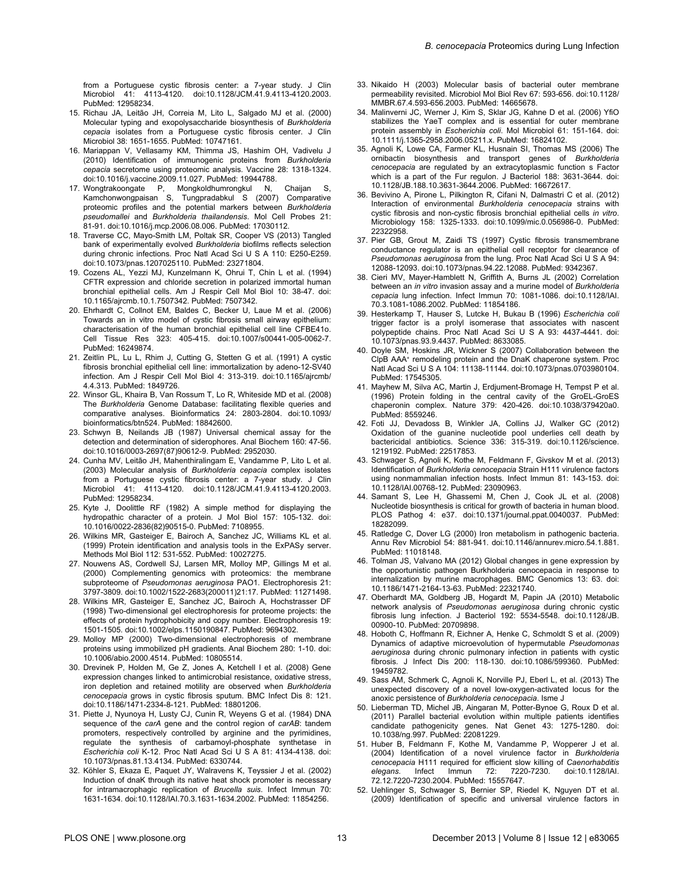<span id="page-14-0"></span>from a Portuguese cystic fibrosis center: a 7-year study. J Clin Microbiol 41: 4113-4120. doi[:10.1128/JCM.41.9.4113-4120.2003.](http://dx.doi.org/10.1128/JCM.41.9.4113-4120.2003) PubMed: [12958234.](http://www.ncbi.nlm.nih.gov/pubmed/12958234)

- 15. Richau JA, Leitão JH, Correia M, Lito L, Salgado MJ et al. (2000) Molecular typing and exopolysaccharide biosynthesis of *Burkholderia cepacia* isolates from a Portuguese cystic fibrosis center. J Clin Microbiol 38: 1651-1655. PubMed: [10747161.](http://www.ncbi.nlm.nih.gov/pubmed/10747161)
- 16. Mariappan V, Vellasamy KM, Thimma JS, Hashim OH, Vadivelu J (2010) Identification of immunogenic proteins from *Burkholderia cepacia* secretome using proteomic analysis. Vaccine 28: 1318-1324. doi:[10.1016/j.vaccine.2009.11.027](http://dx.doi.org/10.1016/j.vaccine.2009.11.027). PubMed: [19944788](http://www.ncbi.nlm.nih.gov/pubmed/19944788).
- 17. Wongtrakoongate P, Mongkoldhumrongkul N, Chaijan S, Kamchonwongpaisan S, Tungpradabkul S (2007) Comparative proteomic profiles and the potential markers between *Burkholderia pseudomallei* and *Burkholderia thailandensis*. Mol Cell Probes 21: 81-91. doi:[10.1016/j.mcp.2006.08.006.](http://dx.doi.org/10.1016/j.mcp.2006.08.006) PubMed: [17030112.](http://www.ncbi.nlm.nih.gov/pubmed/17030112)
- 18. Traverse CC, Mayo-Smith LM, Poltak SR, Cooper VS (2013) Tangled bank of experimentally evolved *Burkholderia* biofilms reflects selection during chronic infections. Proc Natl Acad Sci U S A 110: E250-E259. doi:[10.1073/pnas.1207025110](http://dx.doi.org/10.1073/pnas.1207025110). PubMed: [23271804](http://www.ncbi.nlm.nih.gov/pubmed/23271804).
- 19. Cozens AL, Yezzi MJ, Kunzelmann K, Ohrui T, Chin L et al. (1994) CFTR expression and chloride secretion in polarized immortal human bronchial epithelial cells. Am J Respir Cell Mol Biol 10: 38-47. doi: [10.1165/ajrcmb.10.1.7507342.](http://dx.doi.org/10.1165/ajrcmb.10.1.7507342) PubMed: [7507342.](http://www.ncbi.nlm.nih.gov/pubmed/7507342)
- 20. Ehrhardt C, Collnot EM, Baldes C, Becker U, Laue M et al. (2006) Towards an in vitro model of cystic fibrosis small airway epithelium: characterisation of the human bronchial epithelial cell line CFBE41o. Cell Tissue Res 323: 405-415. doi[:10.1007/s00441-005-0062-7.](http://dx.doi.org/10.1007/s00441-005-0062-7) PubMed: [16249874.](http://www.ncbi.nlm.nih.gov/pubmed/16249874)
- 21. Zeitlin PL, Lu L, Rhim J, Cutting G, Stetten G et al. (1991) A cystic fibrosis bronchial epithelial cell line: immortalization by adeno-12-SV40 infection. Am J Respir Cell Mol Biol 4: 313-319. doi[:10.1165/ajrcmb/](http://dx.doi.org/10.1165/ajrcmb/4.4.313) [4.4.313.](http://dx.doi.org/10.1165/ajrcmb/4.4.313) PubMed: [1849726](http://www.ncbi.nlm.nih.gov/pubmed/1849726).
- 22. Winsor GL, Khaira B, Van Rossum T, Lo R, Whiteside MD et al. (2008) The *Burkholderia* Genome Database: facilitating flexible queries and comparative analyses. Bioinformatics 24: 2803-2804. doi[:10.1093/](http://dx.doi.org/10.1093/bioinformatics/btn524) [bioinformatics/btn524](http://dx.doi.org/10.1093/bioinformatics/btn524). PubMed: [18842600](http://www.ncbi.nlm.nih.gov/pubmed/18842600).
- 23. Schwyn B, Neilands JB (1987) Universal chemical assay for the detection and determination of siderophores. Anal Biochem 160: 47-56. doi:[10.1016/0003-2697\(87\)90612-9.](http://dx.doi.org/10.1016/0003-2697(87)90612-9) PubMed: [2952030.](http://www.ncbi.nlm.nih.gov/pubmed/2952030)
- 24. Cunha MV, Leitão JH, Mahenthiralingam E, Vandamme P, Lito L et al. (2003) Molecular analysis of *Burkholderia cepacia* complex isolates from a Portuguese cystic fibrosis center: a 7-year study. J Clin Microbiol 41: 4113-4120. doi[:10.1128/JCM.41.9.4113-4120.2003.](http://dx.doi.org/10.1128/JCM.41.9.4113-4120.2003) PubMed: [12958234.](http://www.ncbi.nlm.nih.gov/pubmed/12958234)
- 25. Kyte J, Doolittle RF (1982) A simple method for displaying the hydropathic character of a protein. J Mol Biol 157: 105-132. doi: [10.1016/0022-2836\(82\)90515-0](http://dx.doi.org/10.1016/0022-2836(82)90515-0). PubMed: [7108955.](http://www.ncbi.nlm.nih.gov/pubmed/7108955)
- 26. Wilkins MR, Gasteiger E, Bairoch A, Sanchez JC, Williams KL et al. (1999) Protein identification and analysis tools in the ExPASy server. Methods Mol Biol 112: 531-552. PubMed: [10027275](http://www.ncbi.nlm.nih.gov/pubmed/10027275).
- 27. Nouwens AS, Cordwell SJ, Larsen MR, Molloy MP, Gillings M et al. (2000) Complementing genomics with proteomics: the membrane subproteome of *Pseudomonas aeruginosa* PAO1. Electrophoresis 21: 3797-3809. doi[:10.1002/1522-2683\(200011\)21:17.](http://dx.doi.org/10.1002/1522-2683(200011)21:17) PubMed: [11271498.](http://www.ncbi.nlm.nih.gov/pubmed/11271498)
- 28. Wilkins MR, Gasteiger E, Sanchez JC, Bairoch A, Hochstrasser DF (1998) Two-dimensional gel electrophoresis for proteome projects: the effects of protein hydrophobicity and copy number. Electrophoresis 19: 1501-1505. doi[:10.1002/elps.1150190847](http://dx.doi.org/10.1002/elps.1150190847). PubMed: [9694302](http://www.ncbi.nlm.nih.gov/pubmed/9694302).
- 29. Molloy MP (2000) Two-dimensional electrophoresis of membrane proteins using immobilized pH gradients. Anal Biochem 280: 1-10. doi: [10.1006/abio.2000.4514](http://dx.doi.org/10.1006/abio.2000.4514). PubMed: [10805514](http://www.ncbi.nlm.nih.gov/pubmed/10805514).
- 30. Drevinek P, Holden M, Ge Z, Jones A, Ketchell I et al. (2008) Gene expression changes linked to antimicrobial resistance, oxidative stress, iron depletion and retained motility are observed when *Burkholderia cenocepacia* grows in cystic fibrosis sputum. BMC Infect Dis 8: 121. doi:[10.1186/1471-2334-8-121.](http://dx.doi.org/10.1186/1471-2334-8-121) PubMed: [18801206.](http://www.ncbi.nlm.nih.gov/pubmed/18801206)
- 31. Piette J, Nyunoya H, Lusty CJ, Cunin R, Weyens G et al. (1984) DNA sequence of the *carA* gene and the control region of *carAB*: tandem promoters, respectively controlled by arginine and the pyrimidines, regulate the synthesis of carbamoyl-phosphate synthetase in *Escherichia coli* K-12. Proc Natl Acad Sci U S A 81: 4134-4138. doi: [10.1073/pnas.81.13.4134](http://dx.doi.org/10.1073/pnas.81.13.4134). PubMed: [6330744](http://www.ncbi.nlm.nih.gov/pubmed/6330744).
- 32. Köhler S, Ekaza E, Paquet JY, Walravens K, Teyssier J et al. (2002) Induction of dnaK through its native heat shock promoter is necessary for intramacrophagic replication of *Brucella suis*. Infect Immun 70: 1631-1634. doi[:10.1128/IAI.70.3.1631-1634.2002.](http://dx.doi.org/10.1128/IAI.70.3.1631-1634.2002) PubMed: [11854256.](http://www.ncbi.nlm.nih.gov/pubmed/11854256)
- 33. Nikaido H (2003) Molecular basis of bacterial outer membrane permeability revisited. Microbiol Mol Biol Rev 67: 593-656. doi[:10.1128/](http://dx.doi.org/10.1128/MMBR.67.4.593-656.2003) [MMBR.67.4.593-656.2003.](http://dx.doi.org/10.1128/MMBR.67.4.593-656.2003) PubMed: [14665678.](http://www.ncbi.nlm.nih.gov/pubmed/14665678)
- 34. Malinverni JC, Werner J, Kim S, Sklar JG, Kahne D et al. (2006) YfiO stabilizes the YaeT complex and is essential for outer membrane protein assembly in *Escherichia coli*. Mol Microbiol 61: 151-164. doi: [10.1111/j.1365-2958.2006.05211.x](http://dx.doi.org/10.1111/j.1365-2958.2006.05211.x). PubMed: [16824102](http://www.ncbi.nlm.nih.gov/pubmed/16824102).
- 35. Agnoli K, Lowe CA, Farmer KL, Husnain SI, Thomas MS (2006) The ornibactin biosynthesis and transport genes of *Burkholderia cenocepacia* are regulated by an extracytoplasmic function s Factor which is a part of the Fur regulon. J Bacteriol 188: 3631-3644. doi: [10.1128/JB.188.10.3631-3644.2006](http://dx.doi.org/10.1128/JB.188.10.3631-3644.2006). PubMed: [16672617](http://www.ncbi.nlm.nih.gov/pubmed/16672617).
- 36. Bevivino A, Pirone L, Pilkington R, Cifani N, Dalmastri C et al. (2012) Interaction of environmental *Burkholderia cenocepacia* strains with cystic fibrosis and non-cystic fibrosis bronchial epithelial cells *in vitro*. Microbiology 158: 1325-1333. doi:[10.1099/mic.0.056986-0](http://dx.doi.org/10.1099/mic.0.056986-0). PubMed: [22322958.](http://www.ncbi.nlm.nih.gov/pubmed/22322958)
- 37. Pier GB, Grout M, Zaidi TS (1997) Cystic fibrosis transmembrane conductance regulator is an epithelial cell receptor for clearance of *Pseudomonas aeruginosa* from the lung. Proc Natl Acad Sci U S A 94: 12088-12093. doi:[10.1073/pnas.94.22.12088](http://dx.doi.org/10.1073/pnas.94.22.12088). PubMed: [9342367](http://www.ncbi.nlm.nih.gov/pubmed/9342367).
- 38. Cieri MV, Mayer-Hamblett N, Griffith A, Burns JL (2002) Correlation between an *in vitro* invasion assay and a murine model of *Burkholderia cepacia* lung infection. Infect Immun 70: 1081-1086. doi:[10.1128/IAI.](http://dx.doi.org/10.1128/IAI.70.3.1081-1086.2002) [70.3.1081-1086.2002](http://dx.doi.org/10.1128/IAI.70.3.1081-1086.2002). PubMed: [11854186](http://www.ncbi.nlm.nih.gov/pubmed/11854186).
- 39. Hesterkamp T, Hauser S, Lutcke H, Bukau B (1996) *Escherichia coli* trigger factor is a prolyl isomerase that associates with nascent polypeptide chains. Proc Natl Acad Sci U S A 93: 4437-4441. doi: [10.1073/pnas.93.9.4437](http://dx.doi.org/10.1073/pnas.93.9.4437). PubMed: [8633085](http://www.ncbi.nlm.nih.gov/pubmed/8633085).
- 40. Doyle SM, Hoskins JR, Wickner S (2007) Collaboration between the ClpB AAA<sup>+</sup> remodeling protein and the DnaK chaperone system. Proc Natl Acad Sci U S A 104: 11138-11144. doi[:10.1073/pnas.0703980104](http://dx.doi.org/10.1073/pnas.0703980104). PubMed: [17545305.](http://www.ncbi.nlm.nih.gov/pubmed/17545305)
- 41. Mayhew M, Silva AC, Martin J, Erdjument-Bromage H, Tempst P et al. (1996) Protein folding in the central cavity of the GroEL-GroES chaperonin complex. Nature 379: 420-426. doi[:10.1038/379420a0](http://dx.doi.org/10.1038/379420a0). PubMed: [8559246.](http://www.ncbi.nlm.nih.gov/pubmed/8559246)
- 42. Foti JJ, Devadoss B, Winkler JA, Collins JJ, Walker GC (2012) Oxidation of the guanine nucleotide pool underlies cell death by bactericidal antibiotics. Science 336: 315-319. doi[:10.1126/science.](http://dx.doi.org/10.1126/science.1219192) [1219192.](http://dx.doi.org/10.1126/science.1219192) PubMed: [22517853.](http://www.ncbi.nlm.nih.gov/pubmed/22517853)
- 43. Schwager S, Agnoli K, Kothe M, Feldmann F, Givskov M et al. (2013) Identification of *Burkholderia cenocepacia* Strain H111 virulence factors using nonmammalian infection hosts. Infect Immun 81: 143-153. doi: [10.1128/IAI.00768-12.](http://dx.doi.org/10.1128/IAI.00768-12) PubMed: [23090963.](http://www.ncbi.nlm.nih.gov/pubmed/23090963)
- 44. Samant S, Lee H, Ghassemi M, Chen J, Cook JL et al. (2008) Nucleotide biosynthesis is critical for growth of bacteria in human blood. PLOS Pathog 4: e37. doi:[10.1371/journal.ppat.0040037.](http://dx.doi.org/10.1371/journal.ppat.0040037) PubMed: [18282099.](http://www.ncbi.nlm.nih.gov/pubmed/18282099)
- 45. Ratledge C, Dover LG (2000) Iron metabolism in pathogenic bacteria. Annu Rev Microbiol 54: 881-941. doi:[10.1146/annurev.micro.54.1.881](http://dx.doi.org/10.1146/annurev.micro.54.1.881). PubMed: [11018148.](http://www.ncbi.nlm.nih.gov/pubmed/11018148)
- 46. Tolman JS, Valvano MA (2012) Global changes in gene expression by the opportunistic pathogen Burkholderia cenocepacia in response to internalization by murine macrophages. BMC Genomics 13: 63. doi: [10.1186/1471-2164-13-63](http://dx.doi.org/10.1186/1471-2164-13-63). PubMed: [22321740](http://www.ncbi.nlm.nih.gov/pubmed/22321740).
- 47. Oberhardt MA, Goldberg JB, Hogardt M, Papin JA (2010) Metabolic network analysis of *Pseudomonas aeruginosa* during chronic cystic fibrosis lung infection. J Bacteriol 192: 5534-5548. doi:[10.1128/JB.](http://dx.doi.org/10.1128/JB.00900-10) [00900-10](http://dx.doi.org/10.1128/JB.00900-10). PubMed: [20709898](http://www.ncbi.nlm.nih.gov/pubmed/20709898).
- 48. Hoboth C, Hoffmann R, Eichner A, Henke C, Schmoldt S et al. (2009) Dynamics of adaptive microevolution of hypermutable *Pseudomonas aeruginosa* during chronic pulmonary infection in patients with cystic fibrosis. J Infect Dis 200: 118-130. doi:[10.1086/599360.](http://dx.doi.org/10.1086/599360) PubMed: [19459782.](http://www.ncbi.nlm.nih.gov/pubmed/19459782)
- 49. Sass AM, Schmerk C, Agnoli K, Norville PJ, Eberl L, et al. (2013) The unexpected discovery of a novel low-oxygen-activated locus for the anoxic persistence of *Burkholderia cenocepacia*. Isme J
- 50. Lieberman TD, Michel JB, Aingaran M, Potter-Bynoe G, Roux D et al. (2011) Parallel bacterial evolution within multiple patients identifies candidate pathogenicity genes. Nat Genet 43: 1275-1280. doi: [10.1038/ng.997](http://dx.doi.org/10.1038/ng.997). PubMed: [22081229](http://www.ncbi.nlm.nih.gov/pubmed/22081229).
- 51. Huber B, Feldmann F, Kothe M, Vandamme P, Wopperer J et al. (2004) Identification of a novel virulence factor in *Burkholderia cenocepacia* H111 required for efficient slow killing of *Caenorhabditis elegans*. Infect Immun 72: 7220-7230. doi:[10.1128/IAI.](http://dx.doi.org/10.1128/IAI.72.12.7220-7230.2004) [72.12.7220-7230.2004.](http://dx.doi.org/10.1128/IAI.72.12.7220-7230.2004) PubMed: [15557647.](http://www.ncbi.nlm.nih.gov/pubmed/15557647)
- 52. Uehlinger S, Schwager S, Bernier SP, Riedel K, Nguyen DT et al. (2009) Identification of specific and universal virulence factors in